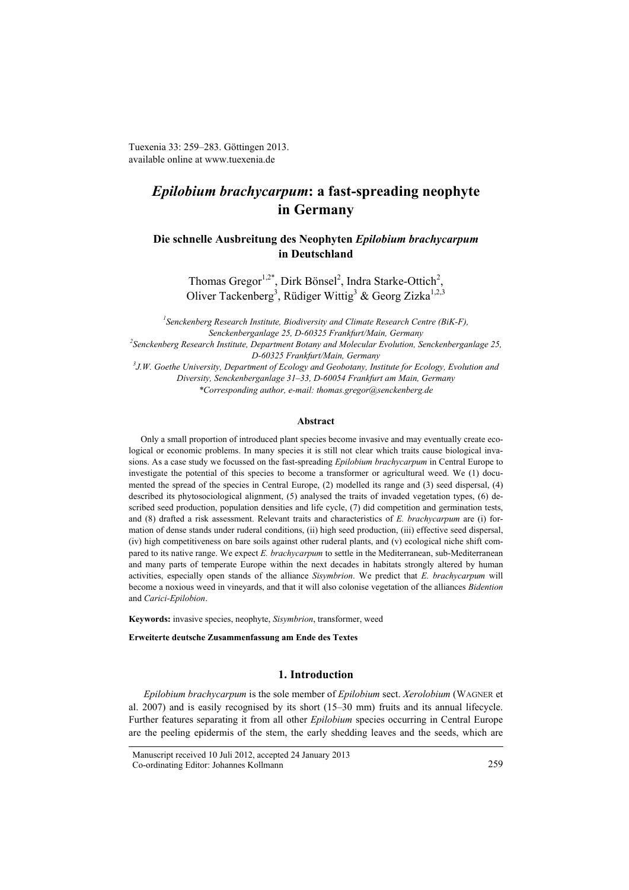Tuexenia 33: 259–283. Göttingen 2013. available online at www.tuexenia.de

# *Epilobium brachycarpum***: a fast-spreading neophyte in Germany**

# **Die schnelle Ausbreitung des Neophyten** *Epilobium brachycarpum* **in Deutschland**

Thomas Gregor<sup>1,2\*</sup>, Dirk Bönsel<sup>2</sup>, Indra Starke-Ottich<sup>2</sup>, Oliver Tackenberg<sup>3</sup>, Rüdiger Wittig<sup>3</sup> & Georg Zizka<sup>1,2,3</sup>

*1 Senckenberg Research Institute, Biodiversity and Climate Research Centre (BiK-F), Senckenberganlage 25, D-60325 Frankfurt/Main, Germany 2 Senckenberg Research Institute, Department Botany and Molecular Evolution, Senckenberganlage 25, D-60325 Frankfurt/Main, Germany 3 J.W. Goethe University, Department of Ecology and Geobotany, Institute for Ecology, Evolution and Diversity, Senckenberganlage 31–33, D-60054 Frankfurt am Main, Germany \*Corresponding author, e-mail[: thomas.gregor@senckenberg.de](mailto:thomas.gregor@senckenberg.de)*

# **Abstract**

Only a small proportion of introduced plant species become invasive and may eventually create ecological or economic problems. In many species it is still not clear which traits cause biological invasions. As a case study we focussed on the fast-spreading *Epilobium brachycarpum* in Central Europe to investigate the potential of this species to become a transformer or agricultural weed. We (1) documented the spread of the species in Central Europe, (2) modelled its range and (3) seed dispersal, (4) described its phytosociological alignment, (5) analysed the traits of invaded vegetation types, (6) described seed production, population densities and life cycle, (7) did competition and germination tests, and (8) drafted a risk assessment. Relevant traits and characteristics of *E. brachycarpum* are (i) formation of dense stands under ruderal conditions, (ii) high seed production, (iii) effective seed dispersal, (iv) high competitiveness on bare soils against other ruderal plants, and (v) ecological niche shift compared to its native range. We expect *E. brachycarpum* to settle in the Mediterranean, sub-Mediterranean and many parts of temperate Europe within the next decades in habitats strongly altered by human activities, especially open stands of the alliance *Sisymbrion*. We predict that *E. brachycarpum* will become a noxious weed in vineyards, and that it will also colonise vegetation of the alliances *Bidention* and *Carici-Epilobion*.

**Keywords:** invasive species, neophyte, *Sisymbrion*, transformer, weed

#### **Erweiterte deutsche Zusammenfassung am Ende des Textes**

# **1. Introduction**

*Epilobium brachycarpum* is the sole member of *Epilobium* sect. *Xerolobium* (WAGNER et al. 2007) and is easily recognised by its short (15–30 mm) fruits and its annual lifecycle. Further features separating it from all other *Epilobium* species occurring in Central Europe are the peeling epidermis of the stem, the early shedding leaves and the seeds, which are

Manuscript received 10 Juli 2012, accepted 24 January 2013 Co-ordinating Editor: Johannes Kollmann 259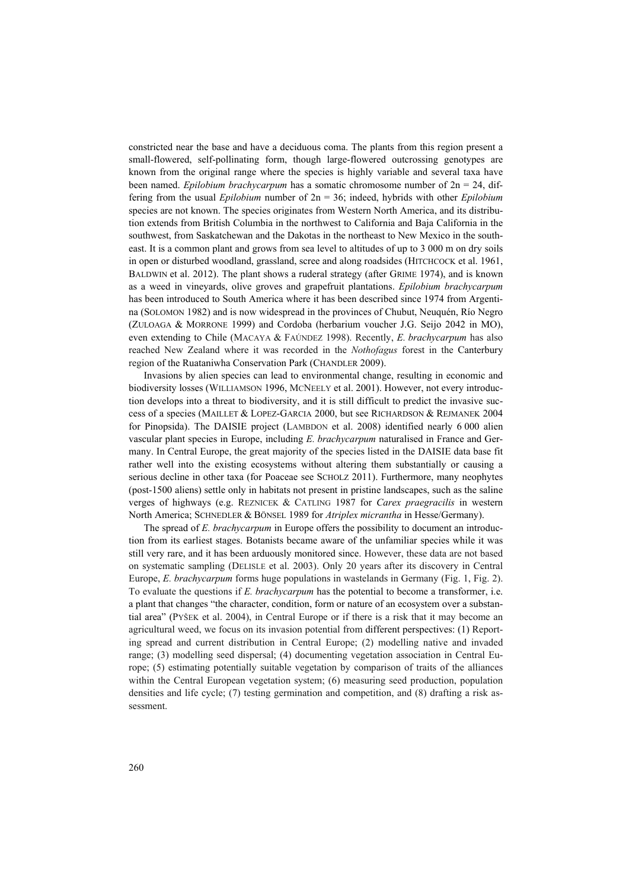constricted near the base and have a deciduous coma. The plants from this region present a small-flowered, self-pollinating form, though large-flowered outcrossing genotypes are known from the original range where the species is highly variable and several taxa have been named. *Epilobium brachycarpum* has a somatic chromosome number of 2n = 24, differing from the usual *Epilobium* number of 2n = 36; indeed, hybrids with other *Epilobium* species are not known. The species originates from Western North America, and its distribution extends from British Columbia in the northwest to California and Baja California in the southwest, from Saskatchewan and the Dakotas in the northeast to New Mexico in the southeast. It is a common plant and grows from sea level to altitudes of up to 3 000 m on dry soils in open or disturbed woodland, grassland, scree and along roadsides (HITCHCOCK et al. 1961, BALDWIN et al. 2012). The plant shows a ruderal strategy (after GRIME 1974), and is known as a weed in vineyards, olive groves and grapefruit plantations. *Epilobium brachycarpum*  has been introduced to South America where it has been described since 1974 from Argentina (SOLOMON 1982) and is now widespread in the provinces of Chubut, Neuquén, Río Negro (ZULOAGA & MORRONE 1999) and Cordoba (herbarium voucher J.G. Seijo 2042 in MO), even extending to Chile (MACAYA & FAÚNDEZ 1998). Recently, *E. brachycarpum* has also reached New Zealand where it was recorded in the *Nothofagus* forest in the Canterbury region of the Ruataniwha Conservation Park (CHANDLER 2009).

Invasions by alien species can lead to environmental change, resulting in economic and biodiversity losses (WILLIAMSON 1996, MCNEELY et al. 2001). However, not every introduction develops into a threat to biodiversity, and it is still difficult to predict the invasive success of a species (MAILLET & LOPEZ-GARCIA 2000, but see RICHARDSON & REJMANEK 2004 for Pinopsida). The DAISIE project (LAMBDON et al. 2008) identified nearly 6 000 alien vascular plant species in Europe, including *E. brachycarpum* naturalised in France and Germany. In Central Europe, the great majority of the species listed in the DAISIE data base fit rather well into the existing ecosystems without altering them substantially or causing a serious decline in other taxa (for Poaceae see SCHOLZ 2011). Furthermore, many neophytes (post-1500 aliens) settle only in habitats not present in pristine landscapes, such as the saline verges of highways (e.g. REZNICEK & CATLING 1987 for *Carex praegracilis* in western North America; SCHNEDLER & BÖNSEL 1989 for *Atriplex micrantha* in Hesse/Germany).

The spread of *E. brachycarpum* in Europe offers the possibility to document an introduction from its earliest stages. Botanists became aware of the unfamiliar species while it was still very rare, and it has been arduously monitored since. However, these data are not based on systematic sampling (DELISLE et al. 2003). Only 20 years after its discovery in Central Europe, *E. brachycarpum* forms huge populations in wastelands in Germany (Fig. 1, Fig. 2). To evaluate the questions if *E. brachycarpum* has the potential to become a transformer, i.e. a plant that changes "the character, condition, form or nature of an ecosystem over a substantial area" (PYŠEK et al. 2004), in Central Europe or if there is a risk that it may become an agricultural weed, we focus on its invasion potential from different perspectives: (1) Reporting spread and current distribution in Central Europe; (2) modelling native and invaded range; (3) modelling seed dispersal; (4) documenting vegetation association in Central Europe; (5) estimating potentially suitable vegetation by comparison of traits of the alliances within the Central European vegetation system; (6) measuring seed production, population densities and life cycle; (7) testing germination and competition, and (8) drafting a risk assessment.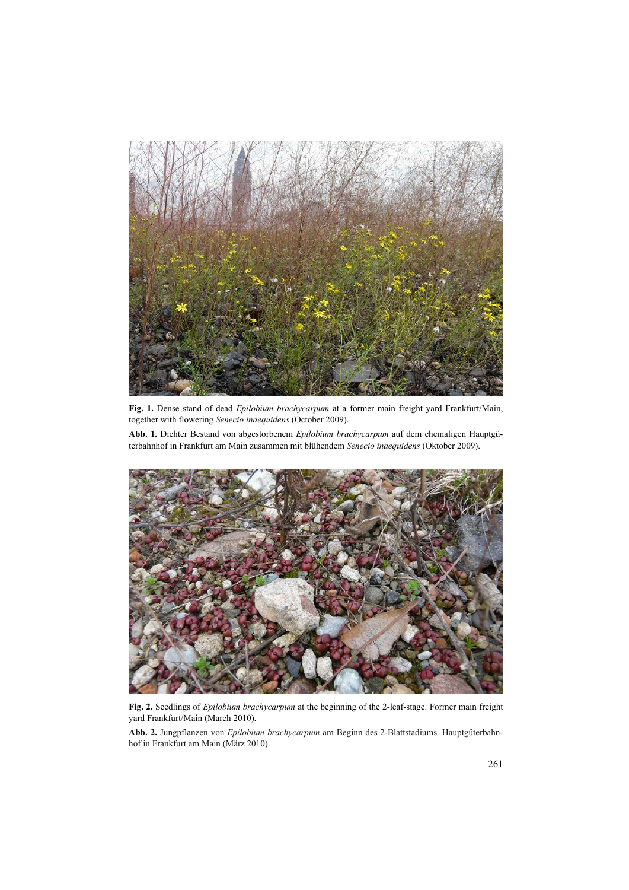

**Fig. 1.** Dense stand of dead *Epilobium brachycarpum* at a former main freight yard Frankfurt/Main, together with flowering *Senecio inaequidens* (October 2009).

**Abb. 1.** Dichter Bestand von abgestorbenem *Epilobium brachycarpum* auf dem ehemaligen Hauptgüterbahnhof in Frankfurt am Main zusammen mit blühendem *Senecio inaequidens* (Oktober 2009).



**Fig. 2.** Seedlings of *Epilobium brachycarpum* at the beginning of the 2-leaf-stage. Former main freight yard Frankfurt/Main (March 2010).

**Abb. 2.** Jungpflanzen von *Epilobium brachycarpum* am Beginn des 2-Blattstadiums. Hauptgüterbahnhof in Frankfurt am Main (März 2010).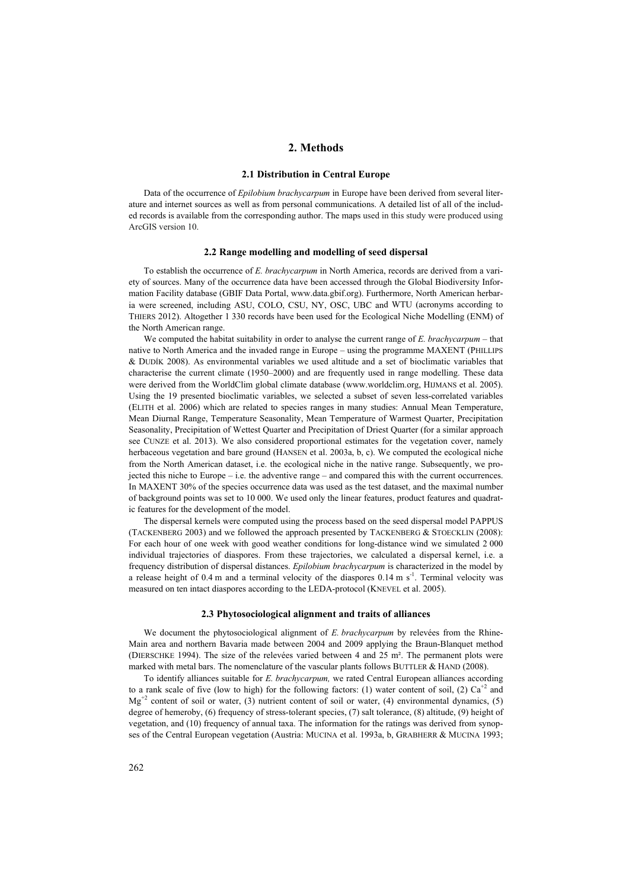# **2. Methods**

# **2.1 Distribution in Central Europe**

Data of the occurrence of *Epilobium brachycarpum* in Europe have been derived from several literature and internet sources as well as from personal communications. A detailed list of all of the included records is available from the corresponding author. The maps used in this study were produced using ArcGIS version 10.

#### **2.2 Range modelling and modelling of seed dispersal**

To establish the occurrence of *E. brachycarpum* in North America, records are derived from a variety of sources. Many of the occurrence data have been accessed through the Global Biodiversity Information Facility database (GBIF Data Portal, www.data.gbif.org). Furthermore, North American herbaria were screened, including ASU, COLO, CSU, NY, OSC, UBC and WTU (acronyms according to THIERS 2012). Altogether 1 330 records have been used for the Ecological Niche Modelling (ENM) of the North American range.

We computed the habitat suitability in order to analyse the current range of *E. brachycarpum* – that native to North America and the invaded range in Europe – using the programme MAXENT (PHILLIPS & DUDÍK 2008). As environmental variables we used altitude and a set of bioclimatic variables that characterise the current climate (1950–2000) and are frequently used in range modelling. These data were derived from the WorldClim global climate database (www.worldclim.org, HIJMANS et al. 2005). Using the 19 presented bioclimatic variables, we selected a subset of seven less-correlated variables (ELITH et al. 2006) which are related to species ranges in many studies: Annual Mean Temperature, Mean Diurnal Range, Temperature Seasonality, Mean Temperature of Warmest Quarter, Precipitation Seasonality, Precipitation of Wettest Quarter and Precipitation of Driest Quarter (for a similar approach see CUNZE et al. 2013). We also considered proportional estimates for the vegetation cover, namely herbaceous vegetation and bare ground (HANSEN et al. 2003a, b, c). We computed the ecological niche from the North American dataset, i.e. the ecological niche in the native range. Subsequently, we projected this niche to Europe – i.e. the adventive range – and compared this with the current occurrences. In MAXENT 30% of the species occurrence data was used as the test dataset, and the maximal number of background points was set to 10 000. We used only the linear features, product features and quadratic features for the development of the model.

The dispersal kernels were computed using the process based on the seed dispersal model PAPPUS (TACKENBERG 2003) and we followed the approach presented by TACKENBERG & STOECKLIN (2008): For each hour of one week with good weather conditions for long-distance wind we simulated 2 000 individual trajectories of diaspores. From these trajectories, we calculated a dispersal kernel, i.e. a frequency distribution of dispersal distances. *Epilobium brachycarpum* is characterized in the model by a release height of 0.4 m and a terminal velocity of the diaspores  $0.14 \text{ m s}^{-1}$ . Terminal velocity was measured on ten intact diaspores according to the LEDA-protocol (KNEVEL et al. 2005).

## **2.3 Phytosociological alignment and traits of alliances**

We document the phytosociological alignment of *E. brachycarpum* by relevées from the Rhine-Main area and northern Bavaria made between 2004 and 2009 applying the Braun-Blanquet method (DIERSCHKE 1994). The size of the relevées varied between 4 and 25 m². The permanent plots were marked with metal bars. The nomenclature of the vascular plants follows BUTTLER & HAND (2008).

To identify alliances suitable for *E. brachycarpum,* we rated Central European alliances according to a rank scale of five (low to high) for the following factors: (1) water content of soil, (2)  $Ca^{+2}$  and  $Mg^{+2}$  content of soil or water, (3) nutrient content of soil or water, (4) environmental dynamics, (5) degree of hemeroby, (6) frequency of stress-tolerant species, (7) salt tolerance, (8) altitude, (9) height of vegetation, and (10) frequency of annual taxa. The information for the ratings was derived from synopses of the Central European vegetation (Austria: MUCINA et al. 1993a, b, GRABHERR & MUCINA 1993;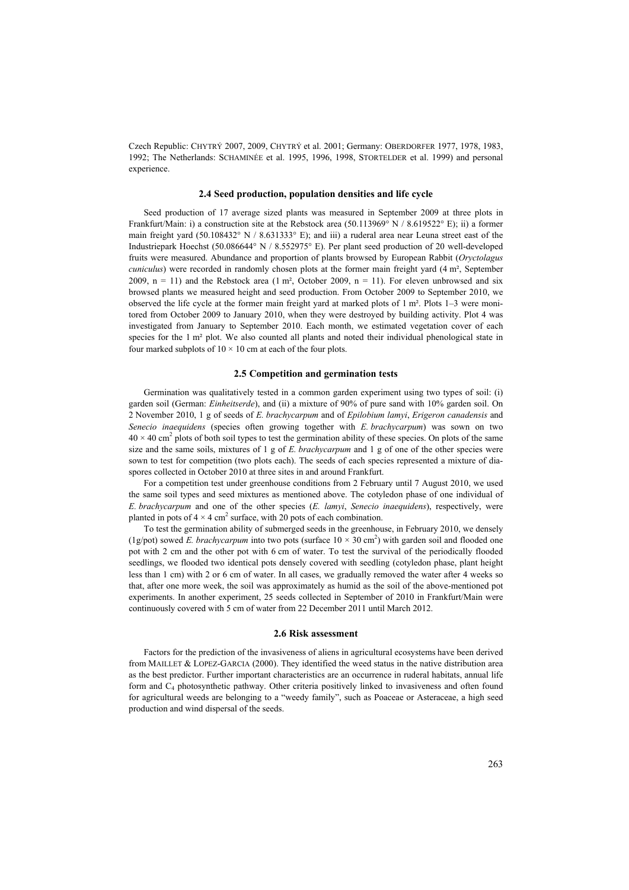Czech Republic: CHYTRÝ 2007, 2009, CHYTRÝ et al. 2001; Germany: OBERDORFER 1977, 1978, 1983, 1992; The Netherlands: SCHAMINÉE et al. 1995, 1996, 1998, STORTELDER et al. 1999) and personal experience.

#### **2.4 Seed production, population densities and life cycle**

Seed production of 17 average sized plants was measured in September 2009 at three plots in Frankfurt/Main: i) a construction site at the Rebstock area (50.113969° N / 8.619522° E); ii) a former main freight yard (50.108432° N / 8.631333° E); and iii) a ruderal area near Leuna street east of the Industriepark Hoechst (50.086644° N / 8.552975° E). Per plant seed production of 20 well-developed fruits were measured. Abundance and proportion of plants browsed by European Rabbit (*Oryctolagus cuniculus*) were recorded in randomly chosen plots at the former main freight yard (4 m², September 2009,  $n = 11$ ) and the Rebstock area (1 m<sup>2</sup>, October 2009,  $n = 11$ ). For eleven unbrowsed and six browsed plants we measured height and seed production. From October 2009 to September 2010, we observed the life cycle at the former main freight yard at marked plots of 1 m². Plots 1–3 were monitored from October 2009 to January 2010, when they were destroyed by building activity. Plot 4 was investigated from January to September 2010. Each month, we estimated vegetation cover of each species for the 1 m² plot. We also counted all plants and noted their individual phenological state in four marked subplots of  $10 \times 10$  cm at each of the four plots.

## **2.5 Competition and germination tests**

Germination was qualitatively tested in a common garden experiment using two types of soil: (i) garden soil (German: *Einheitserde*), and (ii) a mixture of 90% of pure sand with 10% garden soil. On 2 November 2010, 1 g of seeds of *E. brachycarpum* and of *Epilobium lamyi*, *Erigeron canadensis* and *Senecio inaequidens* (species often growing together with *E. brachycarpum*) was sown on two  $40 \times 40$  cm<sup>2</sup> plots of both soil types to test the germination ability of these species. On plots of the same size and the same soils, mixtures of 1 g of *E. brachycarpum* and 1 g of one of the other species were sown to test for competition (two plots each). The seeds of each species represented a mixture of diaspores collected in October 2010 at three sites in and around Frankfurt.

For a competition test under greenhouse conditions from 2 February until 7 August 2010, we used the same soil types and seed mixtures as mentioned above. The cotyledon phase of one individual of *E. brachycarpum* and one of the other species (*E. lamyi*, *Senecio inaequidens*), respectively, were planted in pots of  $4 \times 4$  cm<sup>2</sup> surface, with 20 pots of each combination.

To test the germination ability of submerged seeds in the greenhouse, in February 2010, we densely (1g/pot) sowed *E. brachycarpum* into two pots (surface  $10 \times 30$  cm<sup>2</sup>) with garden soil and flooded one pot with 2 cm and the other pot with 6 cm of water. To test the survival of the periodically flooded seedlings, we flooded two identical pots densely covered with seedling (cotyledon phase, plant height less than 1 cm) with 2 or 6 cm of water. In all cases, we gradually removed the water after 4 weeks so that, after one more week, the soil was approximately as humid as the soil of the above-mentioned pot experiments. In another experiment, 25 seeds collected in September of 2010 in Frankfurt/Main were continuously covered with 5 cm of water from 22 December 2011 until March 2012.

#### **2.6 Risk assessment**

Factors for the prediction of the invasiveness of aliens in agricultural ecosystems have been derived from MAILLET & LOPEZ-GARCIA (2000). They identified the weed status in the native distribution area as the best predictor. Further important characteristics are an occurrence in ruderal habitats, annual life form and C4 photosynthetic pathway. Other criteria positively linked to invasiveness and often found for agricultural weeds are belonging to a "weedy family", such as Poaceae or Asteraceae, a high seed production and wind dispersal of the seeds.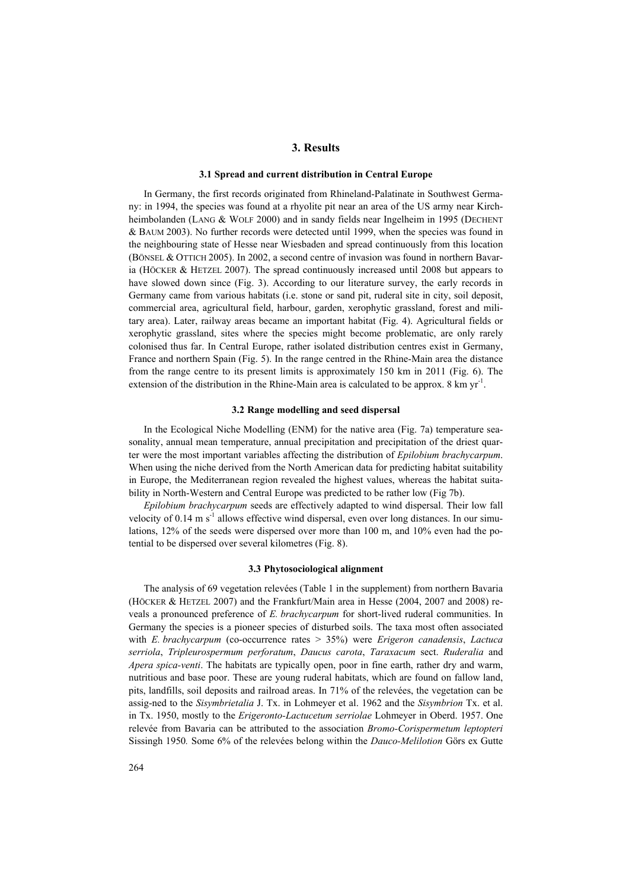# **3. Results**

#### **3.1 Spread and current distribution in Central Europe**

In Germany, the first records originated from Rhineland-Palatinate in Southwest Germany: in 1994, the species was found at a rhyolite pit near an area of the US army near Kirchheimbolanden (LANG & WOLF 2000) and in sandy fields near Ingelheim in 1995 (DECHENT & BAUM 2003). No further records were detected until 1999, when the species was found in the neighbouring state of Hesse near Wiesbaden and spread continuously from this location (BÖNSEL & OTTICH 2005). In 2002, a second centre of invasion was found in northern Bavaria (HÖCKER & HETZEL 2007). The spread continuously increased until 2008 but appears to have slowed down since (Fig. 3). According to our literature survey, the early records in Germany came from various habitats (i.e. stone or sand pit, ruderal site in city, soil deposit, commercial area, agricultural field, harbour, garden, xerophytic grassland, forest and military area). Later, railway areas became an important habitat (Fig. 4). Agricultural fields or xerophytic grassland, sites where the species might become problematic, are only rarely colonised thus far. In Central Europe, rather isolated distribution centres exist in Germany, France and northern Spain (Fig. 5). In the range centred in the Rhine-Main area the distance from the range centre to its present limits is approximately 150 km in 2011 (Fig. 6). The extension of the distribution in the Rhine-Main area is calculated to be approx.  $8 \text{ km yr}^{-1}$ .

# **3.2 Range modelling and seed dispersal**

In the Ecological Niche Modelling (ENM) for the native area (Fig. 7a) temperature seasonality, annual mean temperature, annual precipitation and precipitation of the driest quarter were the most important variables affecting the distribution of *Epilobium brachycarpum*. When using the niche derived from the North American data for predicting habitat suitability in Europe, the Mediterranean region revealed the highest values, whereas the habitat suitability in North-Western and Central Europe was predicted to be rather low (Fig 7b).

*Epilobium brachycarpum* seeds are effectively adapted to wind dispersal. Their low fall velocity of 0.14 m  $s<sup>-1</sup>$  allows effective wind dispersal, even over long distances. In our simulations, 12% of the seeds were dispersed over more than 100 m, and 10% even had the potential to be dispersed over several kilometres (Fig. 8).

## **3.3 Phytosociological alignment**

The analysis of 69 vegetation relevées (Table 1 in the supplement) from northern Bavaria (HÖCKER & HETZEL 2007) and the Frankfurt/Main area in Hesse (2004, 2007 and 2008) reveals a pronounced preference of *E. brachycarpum* for short-lived ruderal communities. In Germany the species is a pioneer species of disturbed soils. The taxa most often associated with *E. brachycarpum* (co-occurrence rates > 35%) were *Erigeron canadensis*, *Lactuca serriola*, *Tripleurospermum perforatum*, *Daucus carota*, *Taraxacum* sect. *Ruderalia* and *Apera spica-venti*. The habitats are typically open, poor in fine earth, rather dry and warm, nutritious and base poor. These are young ruderal habitats, which are found on fallow land, pits, landfills, soil deposits and railroad areas. In 71% of the relevées, the vegetation can be assig-ned to the *Sisymbrietalia* J. Tx. in Lohmeyer et al. 1962 and the *Sisymbrion* Tx. et al. in Tx. 1950, mostly to the *Erigeronto-Lactucetum serriolae* Lohmeyer in Oberd. 1957. One relevée from Bavaria can be attributed to the association *Bromo-Corispermetum leptopteri* Sissingh 1950*.* Some 6% of the relevées belong within the *Dauco-Melilotion* Görs ex Gutte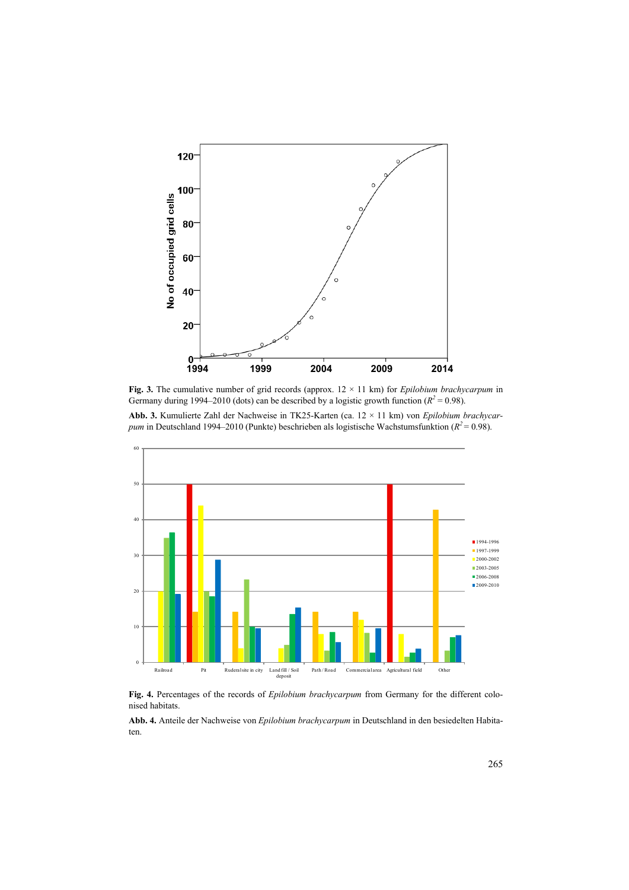

**Fig. 3.** The cumulative number of grid records (approx. 12 × 11 km) for *Epilobium brachycarpum* in Germany during 1994–2010 (dots) can be described by a logistic growth function ( $R^2$  = 0.98). **Abb. 3.** Kumulierte Zahl der Nachweise in TK25-Karten (ca. 12 × 11 km) von *Epilobium brachycarpum* in Deutschland 1994–2010 (Punkte) beschrieben als logistische Wachstumsfunktion ( $R^2$  = 0.98).



**Fig. 4.** Percentages of the records of *Epilobium brachycarpum* from Germany for the different colonised habitats.

**Abb. 4.** Anteile der Nachweise von *Epilobium brachycarpum* in Deutschland in den besiedelten Habitaten.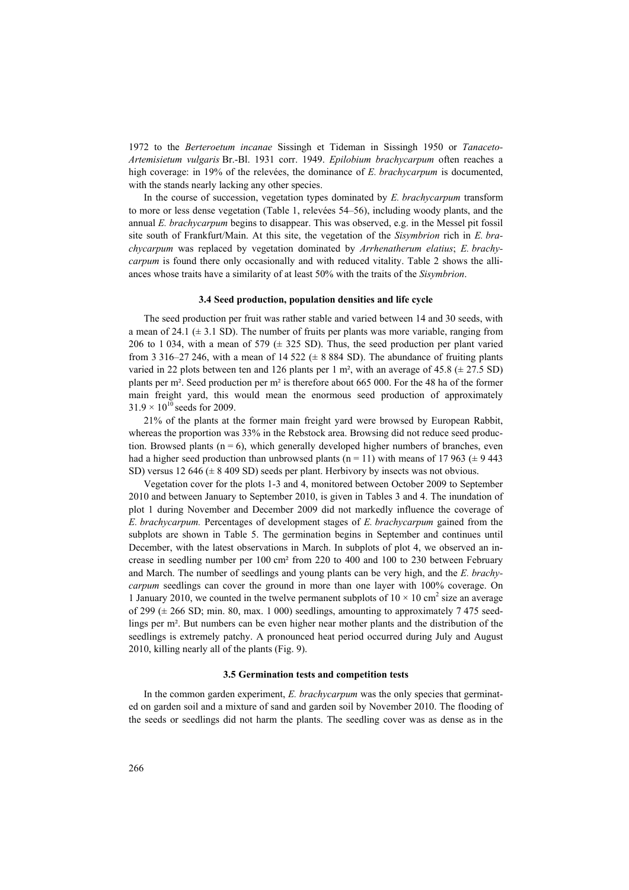1972 to the *Berteroetum incanae* Sissingh et Tideman in Sissingh 1950 or *Tanaceto-Artemisietum vulgaris* Br.-Bl. 1931 corr. 1949. *Epilobium brachycarpum* often reaches a high coverage: in 19% of the relevées, the dominance of *E. brachycarpum* is documented. with the stands nearly lacking any other species.

In the course of succession, vegetation types dominated by *E. brachycarpum* transform to more or less dense vegetation (Table 1, relevées 54–56), including woody plants, and the annual *E. brachycarpum* begins to disappear. This was observed, e.g. in the Messel pit fossil site south of Frankfurt/Main. At this site, the vegetation of the *Sisymbrion* rich in *E. brachycarpum* was replaced by vegetation dominated by *Arrhenatherum elatius*; *E. brachycarpum* is found there only occasionally and with reduced vitality. Table 2 shows the alliances whose traits have a similarity of at least 50% with the traits of the *Sisymbrion*.

## **3.4 Seed production, population densities and life cycle**

The seed production per fruit was rather stable and varied between 14 and 30 seeds, with a mean of 24.1 ( $\pm$  3.1 SD). The number of fruits per plants was more variable, ranging from 206 to 1 034, with a mean of 579 ( $\pm$  325 SD). Thus, the seed production per plant varied from 3 316–27 246, with a mean of 14 522  $(\pm 8884$  SD). The abundance of fruiting plants varied in 22 plots between ten and 126 plants per 1 m<sup>2</sup>, with an average of 45.8 ( $\pm$  27.5 SD) plants per m². Seed production per m² is therefore about 665 000. For the 48 ha of the former main freight yard, this would mean the enormous seed production of approximately  $31.9 \times 10^{10}$  seeds for 2009.

21% of the plants at the former main freight yard were browsed by European Rabbit, whereas the proportion was 33% in the Rebstock area. Browsing did not reduce seed production. Browsed plants ( $n = 6$ ), which generally developed higher numbers of branches, even had a higher seed production than unbrowsed plants ( $n = 11$ ) with means of 17 963 ( $\pm$  9 443) SD) versus 12 646 (± 8 409 SD) seeds per plant. Herbivory by insects was not obvious.

Vegetation cover for the plots 1-3 and 4, monitored between October 2009 to September 2010 and between January to September 2010, is given in Tables 3 and 4. The inundation of plot 1 during November and December 2009 did not markedly influence the coverage of *E. brachycarpum.* Percentages of development stages of *E. brachycarpum* gained from the subplots are shown in Table 5. The germination begins in September and continues until December, with the latest observations in March. In subplots of plot 4, we observed an increase in seedling number per 100 cm² from 220 to 400 and 100 to 230 between February and March. The number of seedlings and young plants can be very high, and the *E. brachycarpum* seedlings can cover the ground in more than one layer with 100% coverage. On 1 January 2010, we counted in the twelve permanent subplots of  $10 \times 10$  cm<sup>2</sup> size an average of 299  $(\pm 266 \text{ SD})$ ; min. 80, max. 1 000) seedlings, amounting to approximately 7 475 seedlings per m². But numbers can be even higher near mother plants and the distribution of the seedlings is extremely patchy. A pronounced heat period occurred during July and August 2010, killing nearly all of the plants (Fig. 9).

#### **3.5 Germination tests and competition tests**

In the common garden experiment, *E. brachycarpum* was the only species that germinated on garden soil and a mixture of sand and garden soil by November 2010. The flooding of the seeds or seedlings did not harm the plants. The seedling cover was as dense as in the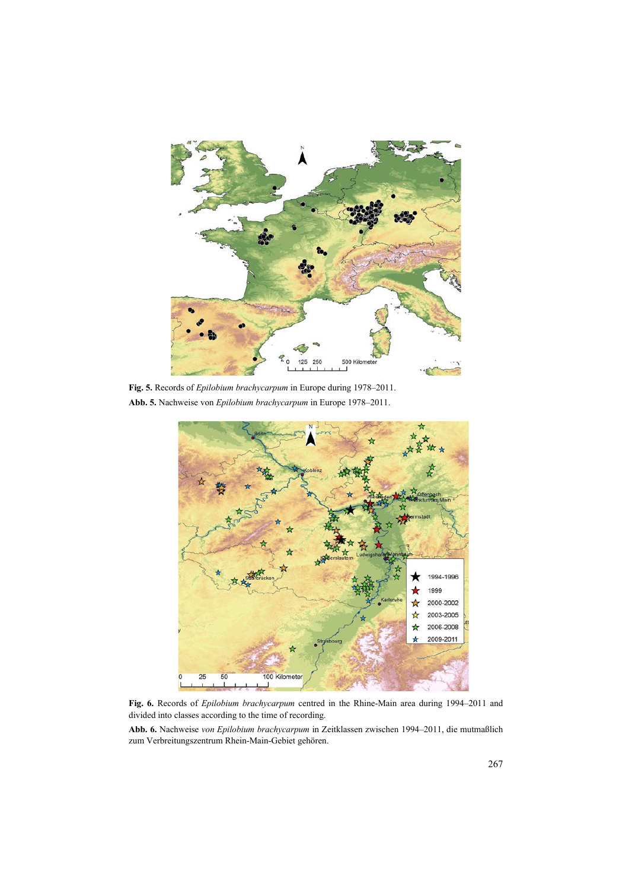

**Fig. 5.** Records of *Epilobium brachycarpum* in Europe during 1978–2011. **Abb. 5.** Nachweise von *Epilobium brachycarpum* in Europe 1978–2011.



**Fig. 6.** Records of *Epilobium brachycarpum* centred in the Rhine-Main area during 1994–2011 and divided into classes according to the time of recording.

**Abb. 6.** Nachweise *von Epilobium brachycarpum* in Zeitklassen zwischen 1994–2011, die mutmaßlich zum Verbreitungszentrum Rhein-Main-Gebiet gehören.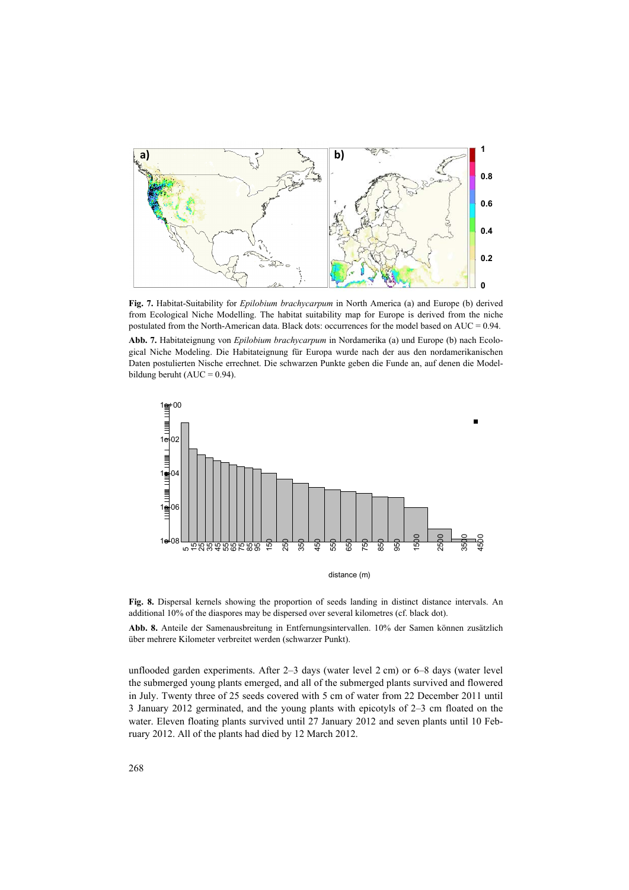

**Fig. 7.** Habitat-Suitability for *Epilobium brachycarpum* in North America (a) and Europe (b) derived from Ecological Niche Modelling. The habitat suitability map for Europe is derived from the niche postulated from the North-American data. Black dots: occurrences for the model based on AUC = 0.94.

**Abb. 7.** Habitateignung von *Epilobium brachycarpum* in Nordamerika (a) und Europe (b) nach Ecological Niche Modeling. Die Habitateignung für Europa wurde nach der aus den nordamerikanischen Daten postulierten Nische errechnet. Die schwarzen Punkte geben die Funde an, auf denen die Modelbildung beruht ( $AUC = 0.94$ ).





**Abb. 8.** Anteile der Samenausbreitung in Entfernungsintervallen. 10% der Samen können zusätzlich über mehrere Kilometer verbreitet werden (schwarzer Punkt).

unflooded garden experiments. After 2–3 days (water level 2 cm) or 6–8 days (water level the submerged young plants emerged, and all of the submerged plants survived and flowered in July. Twenty three of 25 seeds covered with 5 cm of water from 22 December 2011 until 3 January 2012 germinated, and the young plants with epicotyls of 2–3 cm floated on the water. Eleven floating plants survived until 27 January 2012 and seven plants until 10 February 2012. All of the plants had died by 12 March 2012.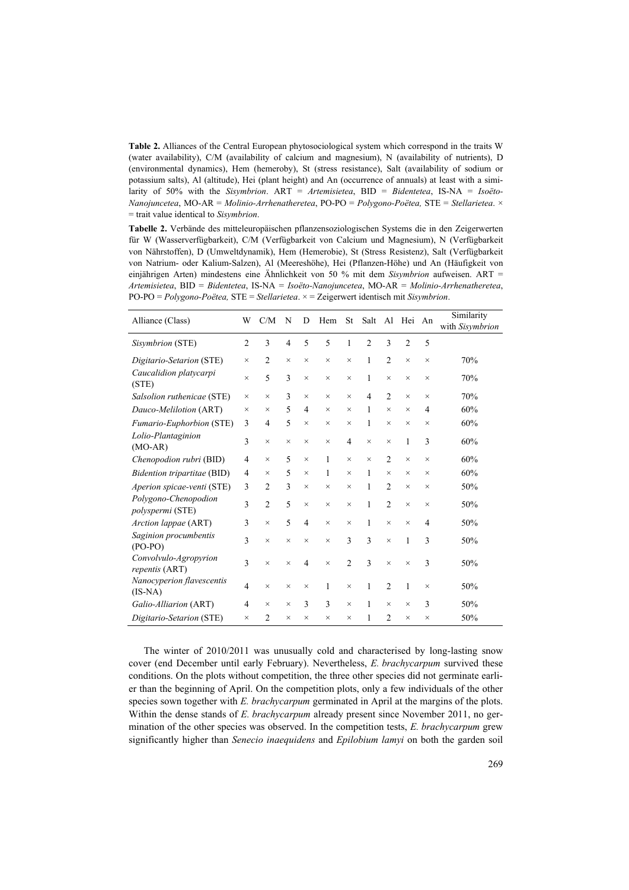**Table 2.** Alliances of the Central European phytosociological system which correspond in the traits W (water availability), C/M (availability of calcium and magnesium), N (availability of nutrients), D (environmental dynamics), Hem (hemeroby), St (stress resistance), Salt (availability of sodium or potassium salts), Al (altitude), Hei (plant height) and An (occurrence of annuals) at least with a similarity of 50% with the *Sisymbrion*. ART = *Artemisietea*, BID = *Bidentetea*, IS-NA = *Isoëto-Nanojuncetea*, MO-AR = *Molinio-Arrhenatheretea*, PO-PO = *Polygono-Poëtea,* STE = *Stellarietea*. × = trait value identical to *Sisymbrion*.

**Tabelle 2.** Verbände des mitteleuropäischen pflanzensoziologischen Systems die in den Zeigerwerten für W (Wasserverfügbarkeit), C/M (Verfügbarkeit von Calcium und Magnesium), N (Verfügbarkeit von Nährstoffen), D (Umweltdynamik), Hem (Hemerobie), St (Stress Resistenz), Salt (Verfügbarkeit von Natrium- oder Kalium-Salzen), Al (Meereshöhe), Hei (Pflanzen-Höhe) und An (Häufigkeit von einjährigen Arten) mindestens eine Ähnlichkeit von 50 % mit dem *Sisymbrion* aufweisen. ART = *Artemisietea*, BID = *Bidentetea*, IS-NA = *Isoëto-Nanojuncetea*, MO-AR = *Molinio-Arrhenatheretea*, PO-PO = *Polygono-Poëtea,* STE = *Stellarietea*. × = Zeigerwert identisch mit *Sisymbrion*.

| Alliance (Class)                                | W              | C/M            | N              | D              | Hem      | St             | Salt           | Al             | Hei An         |          | Similarity<br>with Sisymbrion |
|-------------------------------------------------|----------------|----------------|----------------|----------------|----------|----------------|----------------|----------------|----------------|----------|-------------------------------|
| Sisymbrion (STE)                                | $\overline{2}$ | 3              | $\overline{4}$ | 5              | 5        | 1              | $\overline{2}$ | 3              | $\overline{2}$ | 5        |                               |
| Digitario-Setarion (STE)                        | $\times$       | $\overline{2}$ | $\times$       | $\times$       | ×        | $\times$       | 1              | $\overline{2}$ | $\times$       | $\times$ | 70%                           |
| Caucalidion platycarpi<br>(STE)                 | $\times$       | 5              | 3              | $\times$       | $\times$ | $\times$       | 1              | $\times$       | $\times$       | $\times$ | 70%                           |
| Salsolion ruthenicae (STE)                      | $\times$       | $\times$       | 3              | $\times$       | ×        | $\times$       | 4              | $\overline{2}$ | $\times$       | ×        | 70%                           |
| Dauco-Melilotion (ART)                          | $\times$       | $\times$       | 5              | $\overline{4}$ | $\times$ | $\times$       | 1              | $\times$       | $\times$       | 4        | 60%                           |
| Fumario-Euphorbion (STE)                        | 3              | 4              | 5              | $\times$       | $\times$ | $\times$       | 1              | $\times$       | $\times$       | ×        | 60%                           |
| Lolio-Plantaginion<br>$(MO-AR)$                 | 3              | $\times$       | $\times$       | $\times$       | $\times$ | $\overline{4}$ | $\times$       | $\times$       | 1              | 3        | 60%                           |
| Chenopodion rubri (BID)                         | $\overline{4}$ | $\times$       | 5              | $\times$       | 1        | $\times$       | $\times$       | $\overline{2}$ | $\times$       | $\times$ | 60%                           |
| Bidention tripartitae (BID)                     | $\overline{4}$ | $\times$       | 5              | $\times$       | 1        | $\times$       | 1              | $\times$       | $\times$       | ×        | 60%                           |
| Aperion spicae-venti (STE)                      | 3              | $\overline{2}$ | 3              | $\times$       | $\times$ | $\times$       | 1              | 2              | $\times$       | $\times$ | 50%                           |
| Polygono-Chenopodion<br><i>polyspermi</i> (STE) | 3              | $\overline{2}$ | 5              | $\times$       | ×        | $\times$       | 1              | $\overline{2}$ | $\times$       | ×        | 50%                           |
| Arction lappae (ART)                            | 3              | $\times$       | 5              | $\overline{4}$ | ×        | $\times$       | 1              | $\times$       | $\times$       | 4        | 50%                           |
| Saginion procumbentis<br>$(PO-PO)$              | 3              | $\times$       | $\times$       | $\times$       | $\times$ | 3              | 3              | $\times$       | 1              | 3        | 50%                           |
| Convolvulo-Agropyrion<br><i>repentis</i> (ART)  | 3              | $\times$       | $\times$       | 4              | $\times$ | $\overline{2}$ | 3              | $\times$       | $\times$       | 3        | 50%                           |
| Nanocyperion flavescentis<br>$(IS-NA)$          | $\overline{4}$ | $\times$       | $\times$       | $\times$       | 1        | $\times$       | 1              | $\overline{2}$ | 1              | $\times$ | 50%                           |
| Galio-Alliarion (ART)                           | $\overline{4}$ | $\times$       | $\times$       | 3              | 3        | $\times$       | 1              | $\times$       | $\times$       | 3        | 50%                           |
| Digitario-Setarion (STE)                        | $\times$       | 2              | $\times$       | $\times$       | $\times$ | $\times$       | 1              | $\overline{2}$ | $\times$       | $\times$ | 50%                           |

The winter of 2010/2011 was unusually cold and characterised by long-lasting snow cover (end December until early February). Nevertheless, *E. brachycarpum* survived these conditions. On the plots without competition, the three other species did not germinate earlier than the beginning of April. On the competition plots, only a few individuals of the other species sown together with *E. brachycarpum* germinated in April at the margins of the plots. Within the dense stands of *E. brachycarpum* already present since November 2011, no germination of the other species was observed. In the competition tests, *E. brachycarpum* grew significantly higher than *Senecio inaequidens* and *Epilobium lamyi* on both the garden soil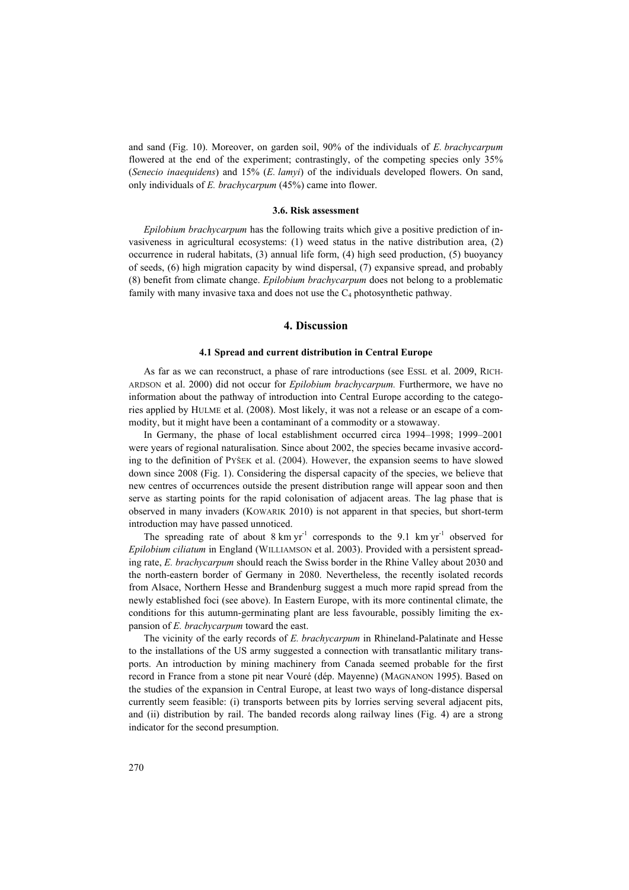and sand (Fig. 10). Moreover, on garden soil, 90% of the individuals of *E. brachycarpum*  flowered at the end of the experiment; contrastingly, of the competing species only 35% (*Senecio inaequidens*) and 15% (*E. lamyi*) of the individuals developed flowers. On sand, only individuals of *E. brachycarpum* (45%) came into flower.

# **3.6. Risk assessment**

*Epilobium brachycarpum* has the following traits which give a positive prediction of invasiveness in agricultural ecosystems: (1) weed status in the native distribution area, (2) occurrence in ruderal habitats, (3) annual life form, (4) high seed production, (5) buoyancy of seeds, (6) high migration capacity by wind dispersal, (7) expansive spread, and probably (8) benefit from climate change. *Epilobium brachycarpum* does not belong to a problematic family with many invasive taxa and does not use the  $C_4$  photosynthetic pathway.

## **4. Discussion**

## **4.1 Spread and current distribution in Central Europe**

As far as we can reconstruct, a phase of rare introductions (see ESSL et al. 2009, RICH-ARDSON et al. 2000) did not occur for *Epilobium brachycarpum.* Furthermore, we have no information about the pathway of introduction into Central Europe according to the categories applied by HULME et al. (2008). Most likely, it was not a release or an escape of a commodity, but it might have been a contaminant of a commodity or a stowaway.

In Germany, the phase of local establishment occurred circa 1994–1998; 1999–2001 were years of regional naturalisation. Since about 2002, the species became invasive according to the definition of PYŠEK et al. (2004). However, the expansion seems to have slowed down since 2008 (Fig. 1). Considering the dispersal capacity of the species, we believe that new centres of occurrences outside the present distribution range will appear soon and then serve as starting points for the rapid colonisation of adjacent areas. The lag phase that is observed in many invaders (KOWARIK 2010) is not apparent in that species, but short-term introduction may have passed unnoticed.

The spreading rate of about  $8 \text{ km yr}^{-1}$  corresponds to the 9.1 km yr<sup>-1</sup> observed for *Epilobium ciliatum* in England (WILLIAMSON et al. 2003). Provided with a persistent spreading rate, *E. brachycarpum* should reach the Swiss border in the Rhine Valley about 2030 and the north-eastern border of Germany in 2080. Nevertheless, the recently isolated records from Alsace, Northern Hesse and Brandenburg suggest a much more rapid spread from the newly established foci (see above). In Eastern Europe, with its more continental climate, the conditions for this autumn-germinating plant are less favourable, possibly limiting the expansion of *E. brachycarpum* toward the east.

The vicinity of the early records of *E. brachycarpum* in Rhineland-Palatinate and Hesse to the installations of the US army suggested a connection with transatlantic military transports. An introduction by mining machinery from Canada seemed probable for the first record in France from a stone pit near Vouré (dép. Mayenne) (MAGNANON 1995). Based on the studies of the expansion in Central Europe, at least two ways of long-distance dispersal currently seem feasible: (i) transports between pits by lorries serving several adjacent pits, and (ii) distribution by rail. The banded records along railway lines (Fig. 4) are a strong indicator for the second presumption.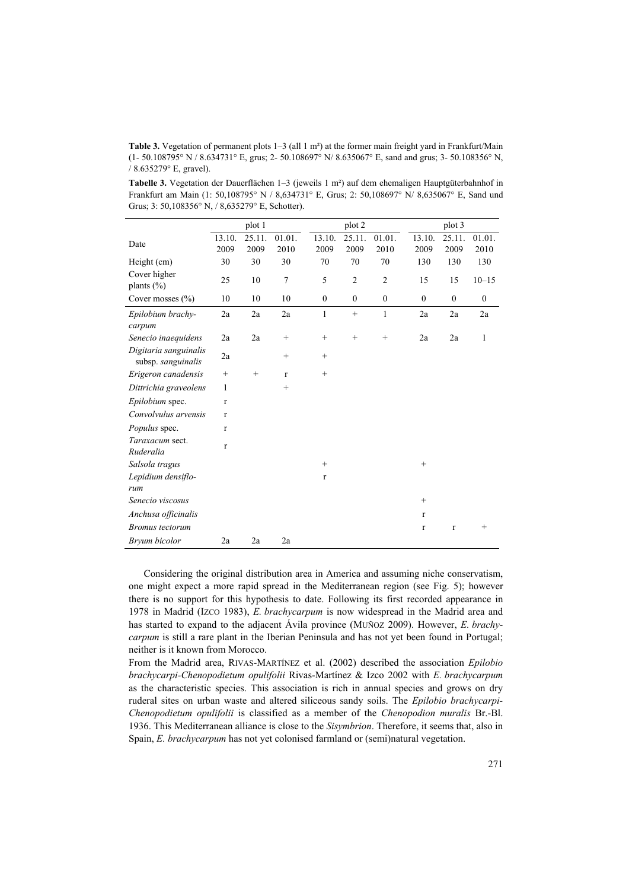**Table 3.** Vegetation of permanent plots 1–3 (all 1 m<sup>2</sup>) at the former main freight yard in Frankfurt/Main (1- 50.108795° N / 8.634731° E, grus; 2- 50.108697° N/ 8.635067° E, sand and grus; 3- 50.108356° N, / 8.635279° E, gravel).

**Tabelle 3.** Vegetation der Dauerflächen 1–3 (jeweils 1 m²) auf dem ehemaligen Hauptgüterbahnhof in Frankfurt am Main (1: 50,108795° N / 8,634731° E, Grus; 2: 50,108697° N/ 8,635067° E, Sand und Grus; 3: 50,108356° N, / 8,635279° E, Schotter).

|                                             |              | plot 1 |                |              | plot 2         |                  | plot 3       |              |              |  |  |  |  |  |  |  |
|---------------------------------------------|--------------|--------|----------------|--------------|----------------|------------------|--------------|--------------|--------------|--|--|--|--|--|--|--|
| Date                                        | 13.10.       | 25.11. | 01.01.         | 13.10.       | 25.11.         | 01.01.           | 13.10.       | 25.11.       | 01.01.       |  |  |  |  |  |  |  |
|                                             | 2009         | 2009   | 2010           | 2009         | 2009           | 2010             | 2009         | 2009         | 2010         |  |  |  |  |  |  |  |
| Height (cm)                                 | 30           | 30     | 30             | 70           | 70             | 70               | 130          | 130          | 130          |  |  |  |  |  |  |  |
| Cover higher<br>plants (%)                  | 25           | 10     | $\overline{7}$ | 5            | $\overline{2}$ | $\overline{2}$   | 15           | 15           | $10 - 15$    |  |  |  |  |  |  |  |
| Cover mosses (%)                            | 10           | 10     | 10             | $\mathbf{0}$ | $\mathbf{0}$   | $\boldsymbol{0}$ | $\mathbf{0}$ | $\mathbf{0}$ | $\mathbf{0}$ |  |  |  |  |  |  |  |
| Epilobium brachy-<br>carpum                 | 2a           | 2a     | 2a             | $\mathbf{1}$ |                | 1                | 2a           | 2a           | 2a           |  |  |  |  |  |  |  |
| Senecio inaequidens                         | 2a           | 2a     |                | $+$          | $+$            | $^{+}$           | 2a           | 2a           | 1            |  |  |  |  |  |  |  |
| Digitaria sanguinalis<br>subsp. sanguinalis | 2a           |        |                | $+$          |                |                  |              |              |              |  |  |  |  |  |  |  |
| Erigeron canadensis                         | $^{+}$       | $+$    | $\mathbf{r}$   | $^{+}$       |                |                  |              |              |              |  |  |  |  |  |  |  |
| Dittrichia graveolens                       | 1            |        | $^{+}$         |              |                |                  |              |              |              |  |  |  |  |  |  |  |
| Epilobium spec.                             | $\mathbf{r}$ |        |                |              |                |                  |              |              |              |  |  |  |  |  |  |  |
| Convolvulus arvensis                        | $\mathbf{r}$ |        |                |              |                |                  |              |              |              |  |  |  |  |  |  |  |
| Populus spec.                               | r            |        |                |              |                |                  |              |              |              |  |  |  |  |  |  |  |
| Taraxacum sect.<br>Ruderalia                | $\mathbf{r}$ |        |                |              |                |                  |              |              |              |  |  |  |  |  |  |  |
| Salsola tragus                              |              |        |                | $^{+}$       |                |                  |              |              |              |  |  |  |  |  |  |  |
| Lepidium densiflo-                          |              |        |                | $\mathbf r$  |                |                  |              |              |              |  |  |  |  |  |  |  |
| rum                                         |              |        |                |              |                |                  |              |              |              |  |  |  |  |  |  |  |
| Senecio viscosus                            |              |        |                |              |                |                  |              |              |              |  |  |  |  |  |  |  |
| Anchusa officinalis                         |              |        |                |              |                |                  | $\mathbf{r}$ |              |              |  |  |  |  |  |  |  |
| <b>Bromus</b> tectorum                      |              |        |                |              |                |                  | $\mathbf r$  | $\mathbf r$  | $^{+}$       |  |  |  |  |  |  |  |
| Bryum bicolor                               | 2a           | 2a     | 2a             |              |                |                  |              |              |              |  |  |  |  |  |  |  |

Considering the original distribution area in America and assuming niche conservatism, one might expect a more rapid spread in the Mediterranean region (see Fig. 5); however there is no support for this hypothesis to date. Following its first recorded appearance in 1978 in Madrid (IZCO 1983), *E. brachycarpum* is now widespread in the Madrid area and has started to expand to the adjacent Ávila province (MUÑOZ 2009). However, *E. brachycarpum* is still a rare plant in the Iberian Peninsula and has not yet been found in Portugal; neither is it known from Morocco.

From the Madrid area, RIVAS-MARTÍNEZ et al. (2002) described the association *Epilobio brachycarpi-Chenopodietum opulifolii* Rivas-Martínez & Izco 2002 with *E. brachycarpum*  as the characteristic species. This association is rich in annual species and grows on dry ruderal sites on urban waste and altered siliceous sandy soils. The *Epilobio brachycarpi-Chenopodietum opulifolii* is classified as a member of the *Chenopodion muralis* Br.-Bl. 1936. This Mediterranean alliance is close to the *Sisymbrion*. Therefore, it seems that, also in Spain, *E. brachycarpum* has not yet colonised farmland or (semi)natural vegetation.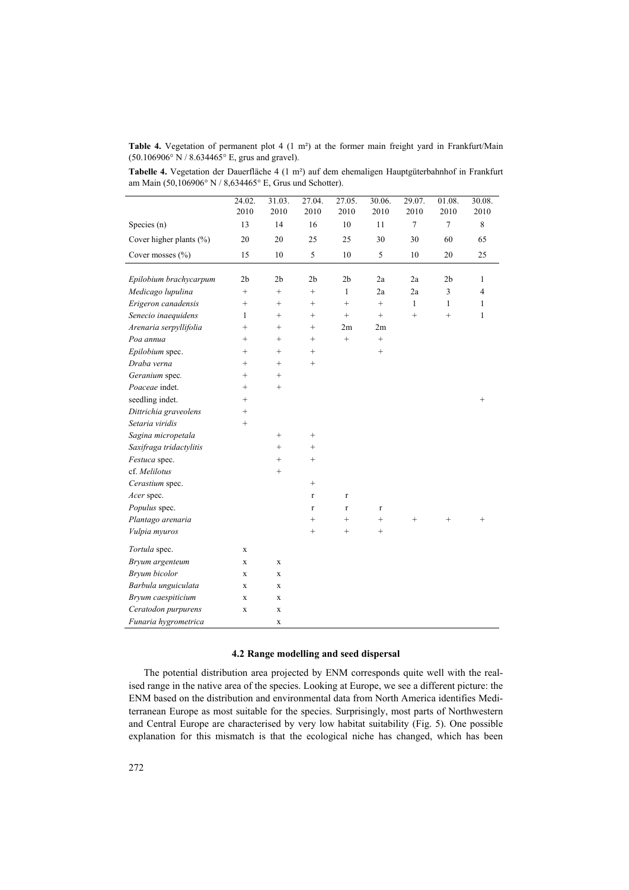Table 4. Vegetation of permanent plot 4 (1 m<sup>2</sup>) at the former main freight yard in Frankfurt/Main (50.106906° N / 8.634465° E, grus and gravel).

**Tabelle 4.** Vegetation der Dauerfläche 4 (1 m²) auf dem ehemaligen Hauptgüterbahnhof in Frankfurt am Main (50,106906° N / 8,634465° E, Grus und Schotter).

|                         | 24.02.         | 31.03.            | 27.04.           | 27.05.           | 30.06.        | 29.07.                 | 01.08.         | 30.08.                         |
|-------------------------|----------------|-------------------|------------------|------------------|---------------|------------------------|----------------|--------------------------------|
|                         | 2010           | 2010              | 2010             | 2010             | 2010          | 2010                   | 2010           | 2010                           |
| Species (n)             | 13             | 14                | 16               | 10               | 11            | $\overline{7}$         | $\overline{7}$ | 8                              |
| Cover higher plants (%) | 20             | 20                | 25               | 25               | 30            | 30                     | 60             | 65                             |
| Cover mosses $(\% )$    | 15             | 10                | 5                | 10               | 5             | 10                     | 20             | 25                             |
|                         |                |                   |                  |                  |               |                        |                |                                |
| Epilobium brachycarpum  | 2 <sub>b</sub> | 2 <sub>b</sub>    | 2 <sub>b</sub>   | 2 <sub>b</sub>   | 2a            | 2a                     | 2 <sub>b</sub> | $\mathbf{1}$<br>$\overline{4}$ |
| Medicago lupulina       | $^{+}$         | $^{+}$            | $^{+}$           | $\mathbf{1}$     | 2a            | 2a                     | 3              |                                |
| Erigeron canadensis     | $^{+}$         | $\qquad \qquad +$ | $^{+}$<br>$^{+}$ | $^{+}$<br>$^{+}$ | $^{+}$<br>$+$ | $\mathbf{1}$<br>$^{+}$ | 1<br>$^{+}$    | 1<br>$\mathbf{1}$              |
| Senecio inaequidens     | 1              | $^{+}$            |                  |                  |               |                        |                |                                |
| Arenaria serpyllifolia  | $^{+}$         | $^{+}$<br>$+$     | $^{+}$<br>$^{+}$ | 2m<br>$+$        | 2m<br>$^{+}$  |                        |                |                                |
| Poa annua               | $\ddot{}$      |                   |                  |                  |               |                        |                |                                |
| Epilobium spec.         | $^{+}$         | $^{+}$            | $^{+}$           |                  | $^{+}$        |                        |                |                                |
| Draba verna             | $^{+}$         | $^{+}$            | $^{+}$           |                  |               |                        |                |                                |
| Geranium spec.          | $^{+}$         | $^{+}$            |                  |                  |               |                        |                |                                |
| Poaceae indet.          | $^{+}$         | $^{+}$            |                  |                  |               |                        |                |                                |
| seedling indet.         | $^{+}$         |                   |                  |                  |               |                        |                | $^{+}$                         |
| Dittrichia graveolens   | $^{+}$         |                   |                  |                  |               |                        |                |                                |
| Setaria viridis         | $^{+}$         |                   |                  |                  |               |                        |                |                                |
| Sagina micropetala      |                | $^{+}$            | $^{+}$           |                  |               |                        |                |                                |
| Saxifraga tridactylitis |                | $^{+}$            | $^{+}$           |                  |               |                        |                |                                |
| Festuca spec.           |                | $^{+}$            | $+$              |                  |               |                        |                |                                |
| cf. Melilotus           |                | $^{+}$            |                  |                  |               |                        |                |                                |
| Cerastium spec.         |                |                   | $^{+}$           |                  |               |                        |                |                                |
| Acer spec.              |                |                   | $\mathbf{r}$     | $\mathbf{r}$     |               |                        |                |                                |
| Populus spec.           |                |                   | r                | $\mathbf r$      | $\Gamma$      |                        |                |                                |
| Plantago arenaria       |                |                   | $^{+}$           | $^{+}$           | $^{+}$        | $^{+}$                 | $^{+}$         | $+$                            |
| Vulpia myuros           |                |                   | $^{+}$           | $^{+}$           | $^{+}$        |                        |                |                                |
| Tortula spec.           | $\mathbf x$    |                   |                  |                  |               |                        |                |                                |
| Bryum argenteum         | $\mathbf X$    | $\mathbf x$       |                  |                  |               |                        |                |                                |
| Bryum bicolor           | $\mathbf X$    | X                 |                  |                  |               |                        |                |                                |
| Barbula unguiculata     | $\mathbf x$    | $\mathbf X$       |                  |                  |               |                        |                |                                |
| Bryum caespiticium      | $\mathbf x$    | $\mathbf X$       |                  |                  |               |                        |                |                                |
| Ceratodon purpurens     | $\mathbf x$    | $\mathbf x$       |                  |                  |               |                        |                |                                |
| Funaria hygrometrica    |                | $\mathbf X$       |                  |                  |               |                        |                |                                |

# **4.2 Range modelling and seed dispersal**

The potential distribution area projected by ENM corresponds quite well with the realised range in the native area of the species. Looking at Europe, we see a different picture: the ENM based on the distribution and environmental data from North America identifies Mediterranean Europe as most suitable for the species. Surprisingly, most parts of Northwestern and Central Europe are characterised by very low habitat suitability (Fig. 5). One possible explanation for this mismatch is that the ecological niche has changed, which has been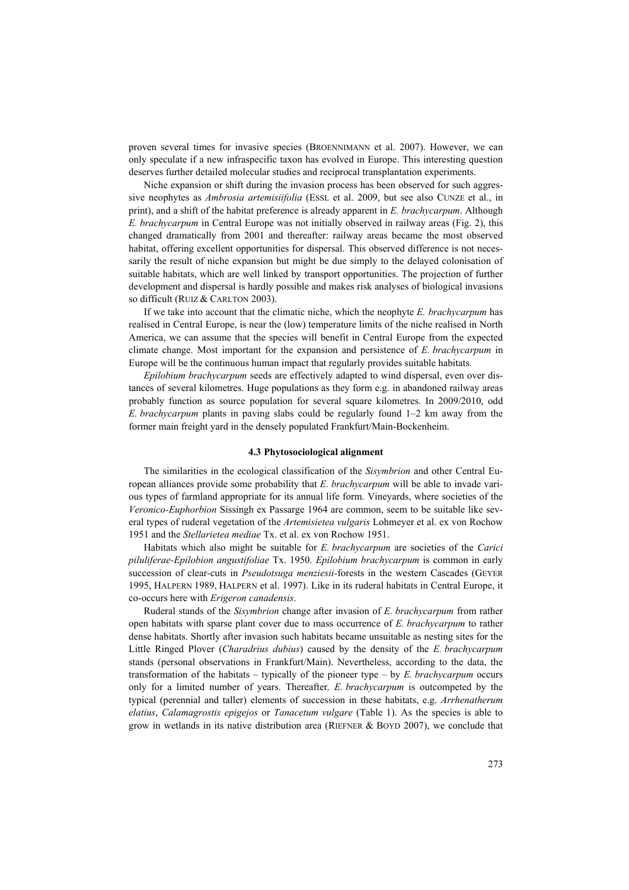proven several times for invasive species (BROENNIMANN et al. 2007). However, we can only speculate if a new infraspecific taxon has evolved in Europe. This interesting question deserves further detailed molecular studies and reciprocal transplantation experiments.

Niche expansion or shift during the invasion process has been observed for such aggressive neophytes as *Ambrosia artemisiifolia* (ESSL et al. 2009, but see also CUNZE et al., in print), and a shift of the habitat preference is already apparent in *E. brachycarpum*. Although *E. brachycarpum* in Central Europe was not initially observed in railway areas (Fig. 2), this changed dramatically from 2001 and thereafter: railway areas became the most observed habitat, offering excellent opportunities for dispersal. This observed difference is not necessarily the result of niche expansion but might be due simply to the delayed colonisation of suitable habitats, which are well linked by transport opportunities. The projection of further development and dispersal is hardly possible and makes risk analyses of biological invasions so difficult (RUIZ & CARLTON 2003).

If we take into account that the climatic niche, which the neophyte *E. brachycarpum* has realised in Central Europe, is near the (low) temperature limits of the niche realised in North America, we can assume that the species will benefit in Central Europe from the expected climate change. Most important for the expansion and persistence of *E. brachycarpum* in Europe will be the continuous human impact that regularly provides suitable habitats*.* 

*Epilobium brachycarpum* seeds are effectively adapted to wind dispersal, even over distances of several kilometres. Huge populations as they form e.g. in abandoned railway areas probably function as source population for several square kilometres. In 2009/2010, odd *E. brachycarpum* plants in paving slabs could be regularly found 1–2 km away from the former main freight yard in the densely populated Frankfurt/Main-Bockenheim.

# **4.3 Phytosociological alignment**

The similarities in the ecological classification of the *Sisymbrion* and other Central European alliances provide some probability that *E. brachycarpum* will be able to invade various types of farmland appropriate for its annual life form. Vineyards, where societies of the *Veronico-Euphorbion* Sissingh ex Passarge 1964 are common, seem to be suitable like several types of ruderal vegetation of the *Artemisietea vulgaris* Lohmeyer et al. ex von Rochow 1951 and the *Stellarietea mediae* Tx. et al. ex von Rochow 1951.

Habitats which also might be suitable for *E. brachycarpum* are societies of the *Carici piluliferae-Epilobion angustifoliae* Tx. 1950. *Epilobium brachycarpum* is common in early succession of clear-cuts in *Pseudotsuga menziesii-*forests in the western Cascades (GEYER 1995, HALPERN 1989, HALPERN et al. 1997). Like in its ruderal habitats in Central Europe, it co-occurs here with *Erigeron canadensis*.

Ruderal stands of the *Sisymbrion* change after invasion of *E. brachycarpum* from rather open habitats with sparse plant cover due to mass occurrence of *E. brachycarpum* to rather dense habitats. Shortly after invasion such habitats became unsuitable as nesting sites for the Little Ringed Plover (*Charadrius dubius*) caused by the density of the *E. brachycarpum*  stands (personal observations in Frankfurt/Main). Nevertheless, according to the data, the transformation of the habitats – typically of the pioneer type – by *E. brachycarpum* occurs only for a limited number of years. Thereafter*, E. brachycarpum* is outcompeted by the typical (perennial and taller) elements of succession in these habitats, e.g. *Arrhenatherum elatius*, *Calamagrostis epigejos* or *Tanacetum vulgare* (Table 1). As the species is able to grow in wetlands in its native distribution area (RIEFNER  $&$  BOYD 2007), we conclude that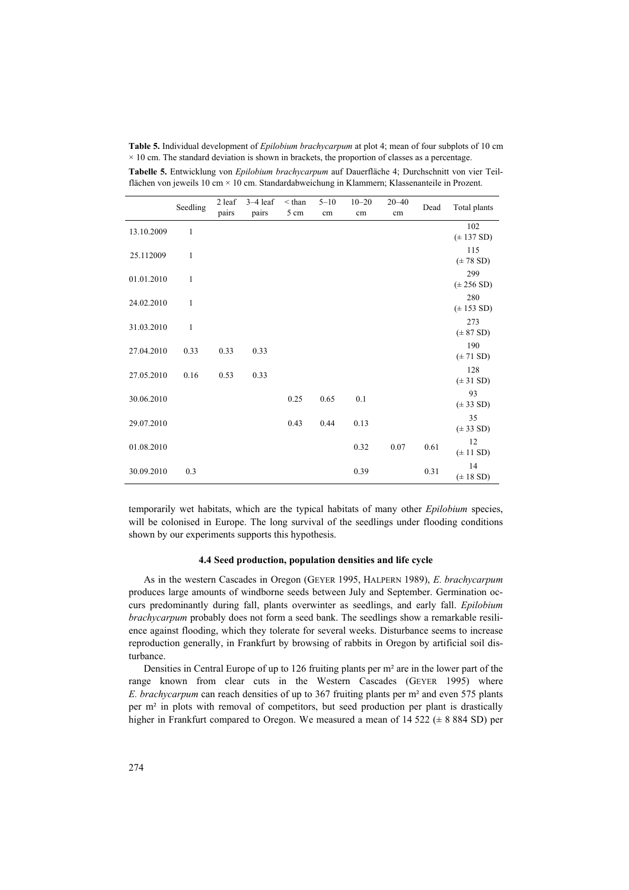**Table 5.** Individual development of *Epilobium brachycarpum* at plot 4; mean of four subplots of 10 cm  $\times$  10 cm. The standard deviation is shown in brackets, the proportion of classes as a percentage.

**Tabelle 5.** Entwicklung von *Epilobium brachycarpum* auf Dauerfläche 4; Durchschnitt von vier Teilflächen von jeweils 10 cm × 10 cm. Standardabweichung in Klammern; Klassenanteile in Prozent.

|            | Seedling | 2 leaf | $3-4$ leaf                | $<$ than | $5 - 10$ | $10 - 20$ | $20 - 40$ | Dead | Total plants                  |
|------------|----------|--------|---------------------------|----------|----------|-----------|-----------|------|-------------------------------|
|            |          | pairs  | pairs<br>5 cm<br>cm<br>cm |          | cm       |           |           |      |                               |
| 13.10.2009 | 1        |        |                           |          |          |           |           |      | 102<br>(± 137 SD)             |
| 25.112009  | 1        |        |                           |          |          |           |           |      | 115<br>$(\pm 78$ SD)          |
| 01.01.2010 | 1        |        |                           |          |          |           |           |      | 299<br>$(\pm 256$ SD)         |
| 24.02.2010 | 1        |        |                           |          |          |           |           |      | 280<br>$(\pm 153 \text{ SD})$ |
| 31.03.2010 | 1        |        |                           |          |          |           |           |      | 273<br>$(\pm 87$ SD)          |
| 27.04.2010 | 0.33     | 0.33   | 0.33                      |          |          |           |           |      | 190<br>$(\pm 71$ SD)          |
| 27.05.2010 | 0.16     | 0.53   | 0.33                      |          |          |           |           |      | 128<br>$(\pm 31$ SD)          |
| 30.06.2010 |          |        |                           | 0.25     | 0.65     | 0.1       |           |      | 93<br>$(\pm 33$ SD)           |
| 29.07.2010 |          |        |                           | 0.43     | 0.44     | 0.13      |           |      | 35<br>$(\pm 33 \text{ SD})$   |
| 01.08.2010 |          |        |                           |          |          | 0.32      | 0.07      | 0.61 | 12<br>$(\pm 11 SD)$           |
| 30.09.2010 | 0.3      |        |                           |          |          | 0.39      |           | 0.31 | 14<br>$(\pm 18$ SD)           |

temporarily wet habitats, which are the typical habitats of many other *Epilobium* species, will be colonised in Europe. The long survival of the seedlings under flooding conditions shown by our experiments supports this hypothesis.

# **4.4 Seed production, population densities and life cycle**

As in the western Cascades in Oregon (GEYER 1995, HALPERN 1989), *E. brachycarpum*  produces large amounts of windborne seeds between July and September. Germination occurs predominantly during fall, plants overwinter as seedlings, and early fall. *Epilobium brachycarpum* probably does not form a seed bank. The seedlings show a remarkable resilience against flooding, which they tolerate for several weeks. Disturbance seems to increase reproduction generally, in Frankfurt by browsing of rabbits in Oregon by artificial soil disturbance.

Densities in Central Europe of up to 126 fruiting plants per m² are in the lower part of the range known from clear cuts in the Western Cascades (GEYER 1995) where *E. brachycarpum* can reach densities of up to 367 fruiting plants per m² and even 575 plants per m² in plots with removal of competitors, but seed production per plant is drastically higher in Frankfurt compared to Oregon. We measured a mean of  $14\,522 \ (\pm 8\,884\ S D)$  per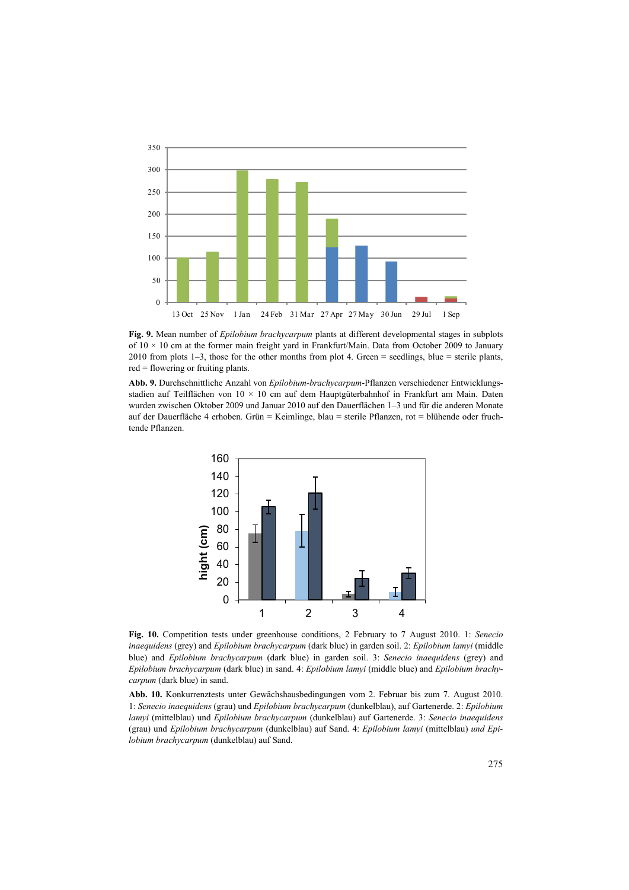

**Fig. 9.** Mean number of *Epilobium brachycarpum* plants at different developmental stages in subplots of 10 × 10 cm at the former main freight yard in Frankfurt/Main. Data from October 2009 to January 2010 from plots 1–3, those for the other months from plot 4. Green = seedlings, blue = sterile plants, red = flowering or fruiting plants.

**Abb. 9.** Durchschnittliche Anzahl von *Epilobium-brachycarpum*-Pflanzen verschiedener Entwicklungsstadien auf Teilflächen von  $10 \times 10$  cm auf dem Hauptgüterbahnhof in Frankfurt am Main. Daten wurden zwischen Oktober 2009 und Januar 2010 auf den Dauerflächen 1–3 und für die anderen Monate auf der Dauerfläche 4 erhoben. Grün = Keimlinge, blau = sterile Pflanzen, rot = blühende oder fruchtende Pflanzen.



**Fig. 10.** Competition tests under greenhouse conditions, 2 February to 7 August 2010. 1: *Senecio inaequidens* (grey) and *Epilobium brachycarpum* (dark blue) in garden soil. 2: *Epilobium lamyi* (middle blue) and *Epilobium brachycarpum* (dark blue) in garden soil. 3: *Senecio inaequidens* (grey) and *Epilobium brachycarpum* (dark blue) in sand. 4: *Epilobium lamyi* (middle blue) and *Epilobium brachycarpum* (dark blue) in sand.

**Abb. 10.** Konkurrenztests unter Gewächshausbedingungen vom 2. Februar bis zum 7. August 2010. 1: *Senecio inaequidens* (grau) und *Epilobium brachycarpum* (dunkelblau), auf Gartenerde. 2: *Epilobium lamyi* (mittelblau) und *Epilobium brachycarpum* (dunkelblau) auf Gartenerde. 3: *Senecio inaequidens* (grau) und *Epilobium brachycarpum* (dunkelblau) auf Sand. 4: *Epilobium lamyi* (mittelblau) *und Epilobium brachycarpum* (dunkelblau) auf Sand.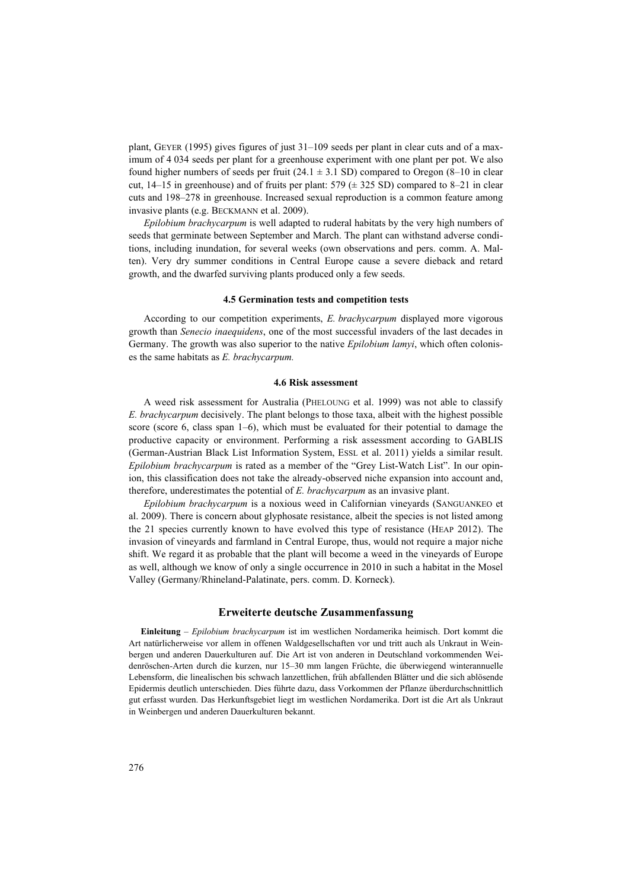plant, GEYER (1995) gives figures of just 31–109 seeds per plant in clear cuts and of a maximum of 4 034 seeds per plant for a greenhouse experiment with one plant per pot. We also found higher numbers of seeds per fruit  $(24.1 \pm 3.1 \text{ SD})$  compared to Oregon  $(8-10 \text{ in clear})$ cut,  $14-15$  in greenhouse) and of fruits per plant:  $579 \ (\pm 325 \text{ SD})$  compared to 8–21 in clear cuts and 198–278 in greenhouse. Increased sexual reproduction is a common feature among invasive plants (e.g. BECKMANN et al. 2009).

*Epilobium brachycarpum* is well adapted to ruderal habitats by the very high numbers of seeds that germinate between September and March. The plant can withstand adverse conditions, including inundation, for several weeks (own observations and pers. comm. A. Malten). Very dry summer conditions in Central Europe cause a severe dieback and retard growth, and the dwarfed surviving plants produced only a few seeds.

# **4.5 Germination tests and competition tests**

According to our competition experiments, *E. brachycarpum* displayed more vigorous growth than *Senecio inaequidens*, one of the most successful invaders of the last decades in Germany. The growth was also superior to the native *Epilobium lamyi*, which often colonises the same habitats as *E. brachycarpum.* 

# **4.6 Risk assessment**

A weed risk assessment for Australia (PHELOUNG et al. 1999) was not able to classify *E. brachycarpum* decisively. The plant belongs to those taxa, albeit with the highest possible score (score 6, class span 1–6), which must be evaluated for their potential to damage the productive capacity or environment. Performing a risk assessment according to GABLIS (German-Austrian Black List Information System, ESSL et al. 2011) yields a similar result. *Epilobium brachycarpum* is rated as a member of the "Grey List-Watch List". In our opinion, this classification does not take the already-observed niche expansion into account and, therefore, underestimates the potential of *E. brachycarpum* as an invasive plant.

*Epilobium brachycarpum* is a noxious weed in Californian vineyards (SANGUANKEO et al. 2009). There is concern about glyphosate resistance, albeit the species is not listed among the 21 species currently known to have evolved this type of resistance (HEAP 2012). The invasion of vineyards and farmland in Central Europe, thus, would not require a major niche shift. We regard it as probable that the plant will become a weed in the vineyards of Europe as well, although we know of only a single occurrence in 2010 in such a habitat in the Mosel Valley (Germany/Rhineland-Palatinate, pers. comm. D. Korneck).

# **Erweiterte deutsche Zusammenfassung**

**Einleitung** – *Epilobium brachycarpum* ist im westlichen Nordamerika heimisch. Dort kommt die Art natürlicherweise vor allem in offenen Waldgesellschaften vor und tritt auch als Unkraut in Weinbergen und anderen Dauerkulturen auf. Die Art ist von anderen in Deutschland vorkommenden Weidenröschen*-*Arten durch die kurzen, nur 15–30 mm langen Früchte, die überwiegend winterannuelle Lebensform, die linealischen bis schwach lanzettlichen, früh abfallenden Blätter und die sich ablösende Epidermis deutlich unterschieden. Dies führte dazu, dass Vorkommen der Pflanze überdurchschnittlich gut erfasst wurden. Das Herkunftsgebiet liegt im westlichen Nordamerika. Dort ist die Art als Unkraut in Weinbergen und anderen Dauerkulturen bekannt.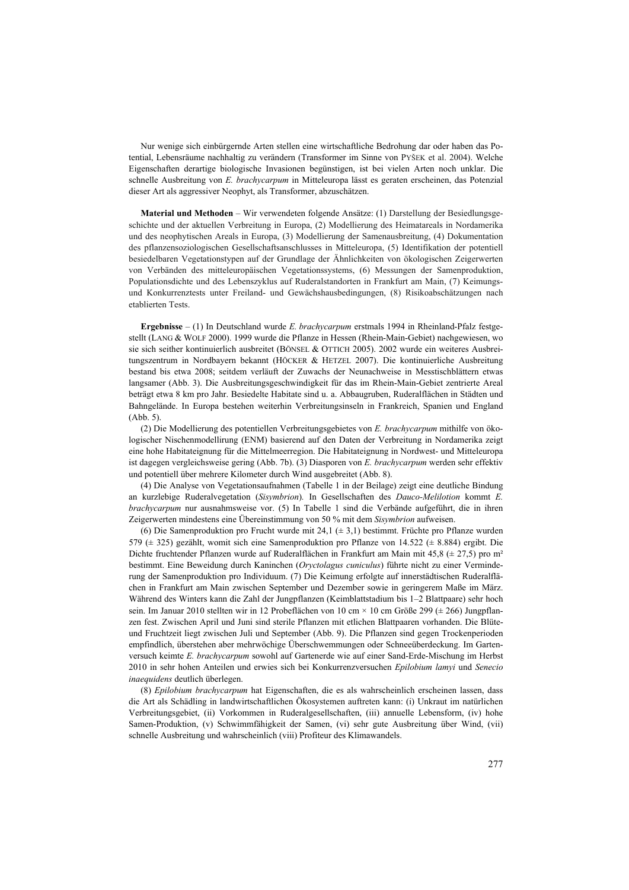Nur wenige sich einbürgernde Arten stellen eine wirtschaftliche Bedrohung dar oder haben das Potential, Lebensräume nachhaltig zu verändern (Transformer im Sinne von PYŠEK et al. 2004). Welche Eigenschaften derartige biologische Invasionen begünstigen, ist bei vielen Arten noch unklar. Die schnelle Ausbreitung von *E. brachycarpum* in Mitteleuropa lässt es geraten erscheinen, das Potenzial dieser Art als aggressiver Neophyt, als Transformer, abzuschätzen.

**Material und Methoden** – Wir verwendeten folgende Ansätze: (1) Darstellung der Besiedlungsgeschichte und der aktuellen Verbreitung in Europa, (2) Modellierung des Heimatareals in Nordamerika und des neophytischen Areals in Europa, (3) Modellierung der Samenausbreitung, (4) Dokumentation des pflanzensoziologischen Gesellschaftsanschlusses in Mitteleuropa, (5) Identifikation der potentiell besiedelbaren Vegetationstypen auf der Grundlage der Ähnlichkeiten von ökologischen Zeigerwerten von Verbänden des mitteleuropäischen Vegetationssystems, (6) Messungen der Samenproduktion, Populationsdichte und des Lebenszyklus auf Ruderalstandorten in Frankfurt am Main, (7) Keimungsund Konkurrenztests unter Freiland- und Gewächshausbedingungen, (8) Risikoabschätzungen nach etablierten Tests.

**Ergebnisse** – (1) In Deutschland wurde *E. brachycarpum* erstmals 1994 in Rheinland-Pfalz festgestellt (LANG & WOLF 2000). 1999 wurde die Pflanze in Hessen (Rhein-Main-Gebiet) nachgewiesen, wo sie sich seither kontinuierlich ausbreitet (BÖNSEL & OTTICH 2005). 2002 wurde ein weiteres Ausbreitungszentrum in Nordbayern bekannt (HÖCKER & HETZEL 2007). Die kontinuierliche Ausbreitung bestand bis etwa 2008; seitdem verläuft der Zuwachs der Neunachweise in Messtischblättern etwas langsamer (Abb. 3). Die Ausbreitungsgeschwindigkeit für das im Rhein-Main-Gebiet zentrierte Areal beträgt etwa 8 km pro Jahr. Besiedelte Habitate sind u. a. Abbaugruben, Ruderalflächen in Städten und Bahngelände. In Europa bestehen weiterhin Verbreitungsinseln in Frankreich, Spanien und England (Abb. 5).

(2) Die Modellierung des potentiellen Verbreitungsgebietes von *E. brachycarpum* mithilfe von ökologischer Nischenmodellirung (ENM) basierend auf den Daten der Verbreitung in Nordamerika zeigt eine hohe Habitateignung für die Mittelmeerregion. Die Habitateignung in Nordwest- und Mitteleuropa ist dagegen vergleichsweise gering (Abb. 7b). (3) Diasporen von *E. brachycarpum* werden sehr effektiv und potentiell über mehrere Kilometer durch Wind ausgebreitet (Abb. 8).

(4) Die Analyse von Vegetationsaufnahmen (Tabelle 1 in der Beilage) zeigt eine deutliche Bindung an kurzlebige Ruderalvegetation (*Sisymbrion*)*.* In Gesellschaften des *Dauco-Melilotion* kommt *E. brachycarpum* nur ausnahmsweise vor. (5) In Tabelle 1 sind die Verbände aufgeführt, die in ihren Zeigerwerten mindestens eine Übereinstimmung von 50 % mit dem *Sisymbrion* aufweisen.

(6) Die Samenproduktion pro Frucht wurde mit 24,1  $(\pm 3,1)$  bestimmt. Früchte pro Pflanze wurden 579 (± 325) gezählt, womit sich eine Samenproduktion pro Pflanze von 14.522 (± 8.884) ergibt. Die Dichte fruchtender Pflanzen wurde auf Ruderalflächen in Frankfurt am Main mit 45,8 ( $\pm$  27,5) pro m<sup>2</sup> bestimmt. Eine Beweidung durch Kaninchen (*Oryctolagus cuniculus*) führte nicht zu einer Verminderung der Samenproduktion pro Individuum. (7) Die Keimung erfolgte auf innerstädtischen Ruderalflächen in Frankfurt am Main zwischen September und Dezember sowie in geringerem Maße im März. Während des Winters kann die Zahl der Jungpflanzen (Keimblattstadium bis 1–2 Blattpaare) sehr hoch sein. Im Januar 2010 stellten wir in 12 Probeflächen von 10 cm  $\times$  10 cm Größe 299 ( $\pm$  266) Jungpflanzen fest. Zwischen April und Juni sind sterile Pflanzen mit etlichen Blattpaaren vorhanden. Die Blüteund Fruchtzeit liegt zwischen Juli und September (Abb. 9). Die Pflanzen sind gegen Trockenperioden empfindlich, überstehen aber mehrwöchige Überschwemmungen oder Schneeüberdeckung. Im Gartenversuch keimte *E. brachycarpum* sowohl auf Gartenerde wie auf einer Sand-Erde-Mischung im Herbst 2010 in sehr hohen Anteilen und erwies sich bei Konkurrenzversuchen *Epilobium lamyi* und *Senecio inaequidens* deutlich überlegen.

(8) *Epilobium brachycarpum* hat Eigenschaften, die es als wahrscheinlich erscheinen lassen, dass die Art als Schädling in landwirtschaftlichen Ökosystemen auftreten kann: (i) Unkraut im natürlichen Verbreitungsgebiet, (ii) Vorkommen in Ruderalgesellschaften, (iii) annuelle Lebensform, (iv) hohe Samen-Produktion, (v) Schwimmfähigkeit der Samen, (vi) sehr gute Ausbreitung über Wind, (vii) schnelle Ausbreitung und wahrscheinlich (viii) Profiteur des Klimawandels.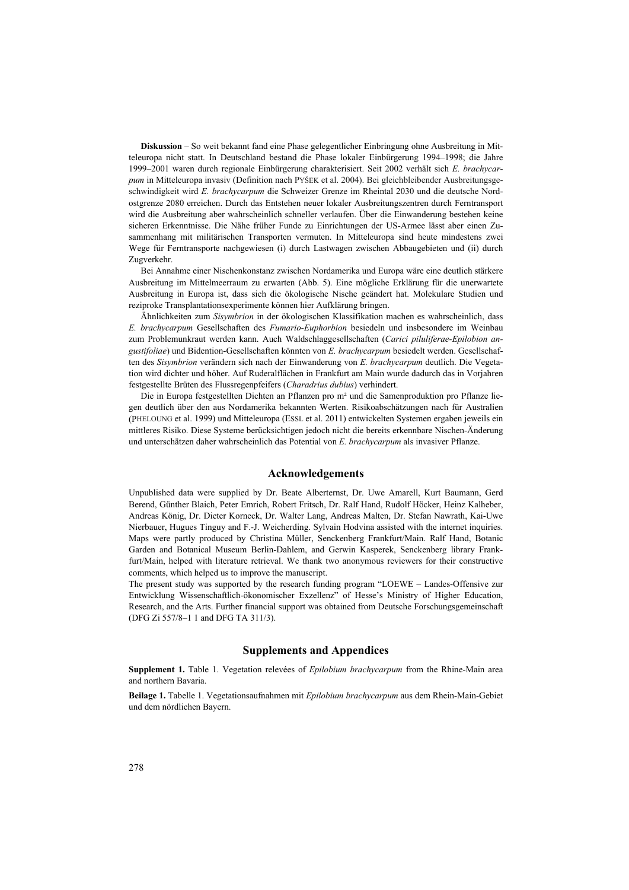**Diskussion** – So weit bekannt fand eine Phase gelegentlicher Einbringung ohne Ausbreitung in Mitteleuropa nicht statt. In Deutschland bestand die Phase lokaler Einbürgerung 1994–1998; die Jahre 1999–2001 waren durch regionale Einbürgerung charakterisiert. Seit 2002 verhält sich *E. brachycarpum* in Mitteleuropa invasiv (Definition nach PYŠEK et al. 2004). Bei gleichbleibender Ausbreitungsgeschwindigkeit wird *E. brachycarpum* die Schweizer Grenze im Rheintal 2030 und die deutsche Nordostgrenze 2080 erreichen. Durch das Entstehen neuer lokaler Ausbreitungszentren durch Ferntransport wird die Ausbreitung aber wahrscheinlich schneller verlaufen. Über die Einwanderung bestehen keine sicheren Erkenntnisse. Die Nähe früher Funde zu Einrichtungen der US-Armee lässt aber einen Zusammenhang mit militärischen Transporten vermuten. In Mitteleuropa sind heute mindestens zwei Wege für Ferntransporte nachgewiesen (i) durch Lastwagen zwischen Abbaugebieten und (ii) durch Zugverkehr.

Bei Annahme einer Nischenkonstanz zwischen Nordamerika und Europa wäre eine deutlich stärkere Ausbreitung im Mittelmeerraum zu erwarten (Abb. 5). Eine mögliche Erklärung für die unerwartete Ausbreitung in Europa ist, dass sich die ökologische Nische geändert hat. Molekulare Studien und reziproke Transplantationsexperimente können hier Aufklärung bringen.

Ähnlichkeiten zum *Sisymbrion* in der ökologischen Klassifikation machen es wahrscheinlich, dass *E. brachycarpum* Gesellschaften des *Fumario-Euphorbion* besiedeln und insbesondere im Weinbau zum Problemunkraut werden kann. Auch Waldschlaggesellschaften (*Carici piluliferae-Epilobion angustifoliae*) und Bidention-Gesellschaften könnten von *E. brachycarpum* besiedelt werden. Gesellschaften des *Sisymbrion* verändern sich nach der Einwanderung von *E. brachycarpum* deutlich. Die Vegetation wird dichter und höher. Auf Ruderalflächen in Frankfurt am Main wurde dadurch das in Vorjahren festgestellte Brüten des Flussregenpfeifers (*Charadrius dubius*) verhindert.

Die in Europa festgestellten Dichten an Pflanzen pro m² und die Samenproduktion pro Pflanze liegen deutlich über den aus Nordamerika bekannten Werten. Risikoabschätzungen nach für Australien (PHELOUNG et al. 1999) und Mitteleuropa (ESSL et al. 2011) entwickelten Systemen ergaben jeweils ein mittleres Risiko. Diese Systeme berücksichtigen jedoch nicht die bereits erkennbare Nischen-Änderung und unterschätzen daher wahrscheinlich das Potential von *E. brachycarpum* als invasiver Pflanze.

#### **Acknowledgements**

Unpublished data were supplied by Dr. Beate Alberternst, Dr. Uwe Amarell, Kurt Baumann, Gerd Berend, Günther Blaich, Peter Emrich, Robert Fritsch, Dr. Ralf Hand, Rudolf Höcker, Heinz Kalheber, Andreas König, Dr. Dieter Korneck, Dr. Walter Lang, Andreas Malten, Dr. Stefan Nawrath, Kai-Uwe Nierbauer, Hugues Tinguy and F.-J. Weicherding. Sylvain Hodvina assisted with the internet inquiries. Maps were partly produced by Christina Müller, Senckenberg Frankfurt/Main. Ralf Hand, Botanic Garden and Botanical Museum Berlin-Dahlem, and Gerwin Kasperek, Senckenberg library Frankfurt/Main, helped with literature retrieval. We thank two anonymous reviewers for their constructive comments, which helped us to improve the manuscript.

The present study was supported by the research funding program "LOEWE – Landes-Offensive zur Entwicklung Wissenschaftlich-ökonomischer Exzellenz" of Hesse's Ministry of Higher Education, Research, and the Arts. Further financial support was obtained from Deutsche Forschungsgemeinschaft (DFG Zi 557/8–1 1 and DFG TA 311/3).

## **Supplements and Appendices**

**Supplement 1.** Table 1. Vegetation relevées of *Epilobium brachycarpum* from the Rhine-Main area and northern Bavaria.

**Beilage 1.** Tabelle 1. Vegetationsaufnahmen mit *Epilobium brachycarpum* aus dem Rhein-Main-Gebiet und dem nördlichen Bayern.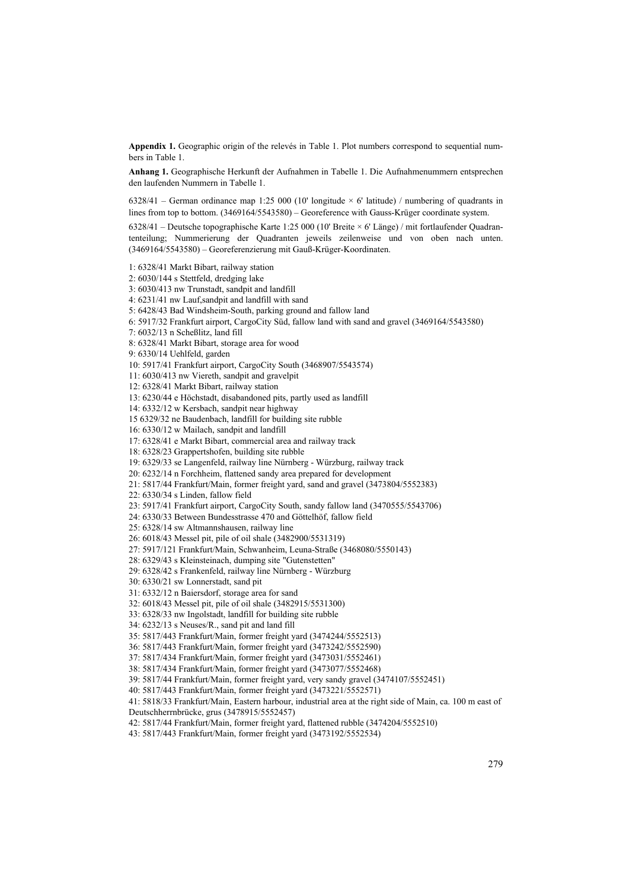**Appendix 1.** Geographic origin of the relevés in Table 1. Plot numbers correspond to sequential numbers in Table 1.

**Anhang 1.** Geographische Herkunft der Aufnahmen in Tabelle 1. Die Aufnahmenummern entsprechen den laufenden Nummern in Tabelle 1.

6328/41 – German ordinance map 1:25 000 (10' longitude  $\times$  6' latitude) / numbering of quadrants in lines from top to bottom. (3469164/5543580) – Georeference with Gauss-Krüger coordinate system.

6328/41 – Deutsche topographische Karte 1:25 000 (10' Breite × 6' Länge) / mit fortlaufender Quadrantenteilung; Nummerierung der Quadranten jeweils zeilenweise und von oben nach unten. (3469164/5543580) – Georeferenzierung mit Gauß-Krüger-Koordinaten.

1: 6328/41 Markt Bibart, railway station

2: 6030/144 s Stettfeld, dredging lake

3: 6030/413 nw Trunstadt, sandpit and landfill

4: 6231/41 nw Lauf,sandpit and landfill with sand

5: 6428/43 Bad Windsheim-South, parking ground and fallow land

6: 5917/32 Frankfurt airport, CargoCity Süd, fallow land with sand and gravel (3469164/5543580)

7: 6032/13 n Scheßlitz, land fill

8: 6328/41 Markt Bibart, storage area for wood

9: 6330/14 Uehlfeld, garden

10: 5917/41 Frankfurt airport, CargoCity South (3468907/5543574)

11: 6030/413 nw Viereth, sandpit and gravelpit

12: 6328/41 Markt Bibart, railway station

13: 6230/44 e Höchstadt, disabandoned pits, partly used as landfill

14: 6332/12 w Kersbach, sandpit near highway

15 6329/32 ne Baudenbach, landfill for building site rubble

16: 6330/12 w Mailach, sandpit and landfill

17: 6328/41 e Markt Bibart, commercial area and railway track

18: 6328/23 Grappertshofen, building site rubble

19: 6329/33 se Langenfeld, railway line Nürnberg - Würzburg, railway track

20: 6232/14 n Forchheim, flattened sandy area prepared for development

21: 5817/44 Frankfurt/Main, former freight yard, sand and gravel (3473804/5552383)

22: 6330/34 s Linden, fallow field

23: 5917/41 Frankfurt airport, CargoCity South, sandy fallow land (3470555/5543706)

24: 6330/33 Between Bundesstrasse 470 and Göttelhöf, fallow field

25: 6328/14 sw Altmannshausen, railway line

26: 6018/43 Messel pit, pile of oil shale (3482900/5531319)

27: 5917/121 Frankfurt/Main, Schwanheim, Leuna-Straße (3468080/5550143)

28: 6329/43 s Kleinsteinach, dumping site "Gutenstetten"

29: 6328/42 s Frankenfeld, railway line Nürnberg - Würzburg

30: 6330/21 sw Lonnerstadt, sand pit

31: 6332/12 n Baiersdorf, storage area for sand

32: 6018/43 Messel pit, pile of oil shale (3482915/5531300)

33: 6328/33 nw Ingolstadt, landfill for building site rubble

34: 6232/13 s Neuses/R., sand pit and land fill

35: 5817/443 Frankfurt/Main, former freight yard (3474244/5552513)

36: 5817/443 Frankfurt/Main, former freight yard (3473242/5552590)

37: 5817/434 Frankfurt/Main, former freight yard (3473031/5552461)

38: 5817/434 Frankfurt/Main, former freight yard (3473077/5552468)

39: 5817/44 Frankfurt/Main, former freight yard, very sandy gravel (3474107/5552451)

40: 5817/443 Frankfurt/Main, former freight yard (3473221/5552571)

41: 5818/33 Frankfurt/Main, Eastern harbour, industrial area at the right side of Main, ca. 100 m east of Deutschherrnbrücke, grus (3478915/5552457)

42: 5817/44 Frankfurt/Main, former freight yard, flattened rubble (3474204/5552510)

43: 5817/443 Frankfurt/Main, former freight yard (3473192/5552534)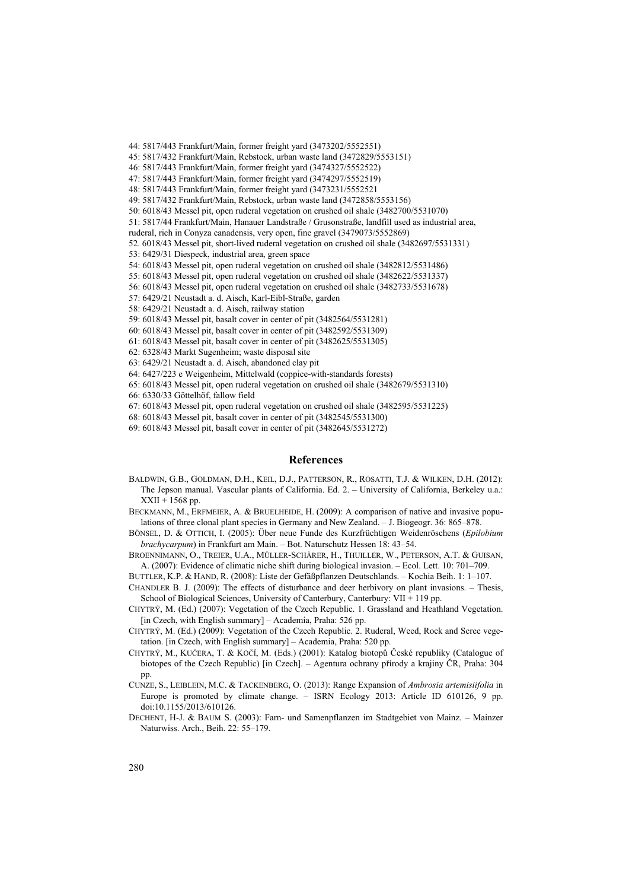44: 5817/443 Frankfurt/Main, former freight yard (3473202/5552551)

45: 5817/432 Frankfurt/Main, Rebstock, urban waste land (3472829/5553151)

46: 5817/443 Frankfurt/Main, former freight yard (3474327/5552522)

47: 5817/443 Frankfurt/Main, former freight yard (3474297/5552519)

48: 5817/443 Frankfurt/Main, former freight yard (3473231/5552521

49: 5817/432 Frankfurt/Main, Rebstock, urban waste land (3472858/5553156)

50: 6018/43 Messel pit, open ruderal vegetation on crushed oil shale (3482700/5531070)

51: 5817/44 Frankfurt/Main, Hanauer Landstraße / Grusonstraße, landfill used as industrial area,

ruderal, rich in Conyza canadensis, very open, fine gravel (3479073/5552869) 52. 6018/43 Messel pit, short-lived ruderal vegetation on crushed oil shale (3482697/5531331)

53: 6429/31 Diespeck, industrial area, green space

54: 6018/43 Messel pit, open ruderal vegetation on crushed oil shale (3482812/5531486)

55: 6018/43 Messel pit, open ruderal vegetation on crushed oil shale (3482622/5531337)

56: 6018/43 Messel pit, open ruderal vegetation on crushed oil shale (3482733/5531678)

57: 6429/21 Neustadt a. d. Aisch, Karl-Eibl-Straße, garden

58: 6429/21 Neustadt a. d. Aisch, railway station

59: 6018/43 Messel pit, basalt cover in center of pit (3482564/5531281)

60: 6018/43 Messel pit, basalt cover in center of pit (3482592/5531309)

61: 6018/43 Messel pit, basalt cover in center of pit (3482625/5531305)

62: 6328/43 Markt Sugenheim; waste disposal site

63: 6429/21 Neustadt a. d. Aisch, abandoned clay pit

64: 6427/223 e Weigenheim, Mittelwald (coppice-with-standards forests)

65: 6018/43 Messel pit, open ruderal vegetation on crushed oil shale (3482679/5531310)

66: 6330/33 Göttelhöf, fallow field

67: 6018/43 Messel pit, open ruderal vegetation on crushed oil shale (3482595/5531225)

68: 6018/43 Messel pit, basalt cover in center of pit (3482545/5531300)

69: 6018/43 Messel pit, basalt cover in center of pit (3482645/5531272)

# **References**

- BALDWIN, G.B., GOLDMAN, D.H., KEIL, D.J., PATTERSON, R., ROSATTI, T.J. & WILKEN, D.H. (2012): The Jepson manual. Vascular plants of California. Ed. 2. – University of California, Berkeley u.a.:  $XXII + 1568$  pp.
- BECKMANN, M., ERFMEIER, A. & BRUELHEIDE, H. (2009): A comparison of native and invasive populations of three clonal plant species in Germany and New Zealand. – J. Biogeogr. 36: 865–878.
- BÖNSEL, D. & OTTICH, I. (2005): Über neue Funde des Kurzfrüchtigen Weidenröschens (*Epilobium brachycarpum*) in Frankfurt am Main. – Bot. Naturschutz Hessen 18: 43–54.
- BROENNIMANN, O., TREIER, U.A., MÜLLER-SCHÄRER, H., THUILLER, W., PETERSON, A.T. & GUISAN, A. (2007): Evidence of climatic niche shift during biological invasion. – Ecol. Lett. 10: 701–709.

BUTTLER, K.P. & HAND, R. (2008): Liste der Gefäßpflanzen Deutschlands. – Kochia Beih. 1: 1–107.

CHANDLER B. J. (2009): The effects of disturbance and deer herbivory on plant invasions. – Thesis, School of Biological Sciences, University of Canterbury, Canterbury: VII + 119 pp.

CHYTRÝ, M. (Ed.) (2007): Vegetation of the Czech Republic. 1. Grassland and Heathland Vegetation. [in Czech, with English summary] – Academia, Praha: 526 pp.

- CHYTRÝ, M. (Ed.) (2009): Vegetation of the Czech Republic. 2. Ruderal, Weed, Rock and Scree vegetation. [in Czech, with English summary] – Academia, Praha: 520 pp.
- CHYTRÝ, M., KUČERA, T. & KOČÍ, M. (Eds.) (2001): Katalog biotopů České republiky (Catalogue of biotopes of the Czech Republic) [in Czech]. – Agentura ochrany přírody a krajiny ČR, Praha: 304 pp.
- CUNZE, S., LEIBLEIN, M.C. & TACKENBERG, O. (2013): Range Expansion of *Ambrosia artemisiifolia* in Europe is promoted by climate change. – ISRN Ecology 2013: Article ID 610126, 9 pp. doi:10.1155/2013/610126.
- DECHENT, H-J. & BAUM S. (2003): Farn- und Samenpflanzen im Stadtgebiet von Mainz. Mainzer Naturwiss. Arch., Beih. 22: 55–179.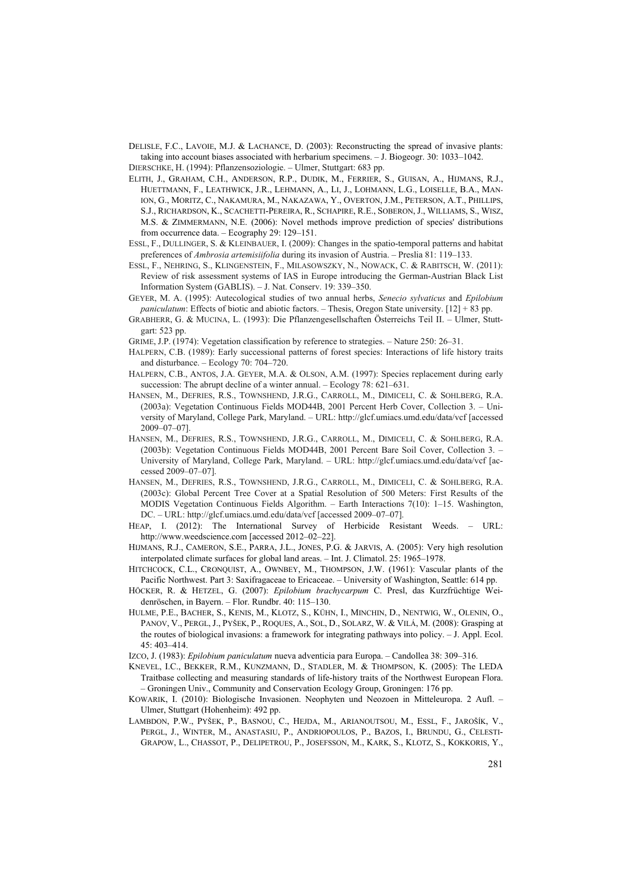- DELISLE, F.C., LAVOIE, M.J. & LACHANCE, D. (2003): Reconstructing the spread of invasive plants: taking into account biases associated with herbarium specimens. – J. Biogeogr. 30: 1033–1042.
- DIERSCHKE, H. (1994): Pflanzensoziologie. Ulmer, Stuttgart: 683 pp.
- ELITH, J., GRAHAM, C.H., ANDERSON, R.P., DUDIK, M., FERRIER, S., GUISAN, A., HIJMANS, R.J., HUETTMANN, F., LEATHWICK, J.R., LEHMANN, A., LI, J., LOHMANN, L.G., LOISELLE, B.A., MAN-ION, G., MORITZ, C., NAKAMURA, M., NAKAZAWA, Y., OVERTON, J.M., PETERSON, A.T., PHILLIPS, S.J., RICHARDSON, K., SCACHETTI-PEREIRA, R., SCHAPIRE, R.E., SOBERON, J., WILLIAMS, S., WISZ, M.S. & ZIMMERMANN, N.E. (2006): Novel methods improve prediction of species' distributions from occurrence data. – Ecography 29: 129–151.
- ESSL, F., DULLINGER, S. & KLEINBAUER, I. (2009): Changes in the spatio-temporal patterns and habitat preferences of *Ambrosia artemisiifolia* during its invasion of Austria. – Preslia 81: 119–133.
- ESSL, F., NEHRING, S., KLINGENSTEIN, F., MILASOWSZKY, N., NOWACK, C. & RABITSCH, W. (2011): Review of risk assessment systems of IAS in Europe introducing the German-Austrian Black List Information System (GABLIS). – J. Nat. Conserv. 19: 339–350.
- GEYER, M. A. (1995): Autecological studies of two annual herbs, *Senecio sylvaticus* and *Epilobium paniculatum*: Effects of biotic and abiotic factors. – Thesis, Oregon State university. [12] + 83 pp.
- GRABHERR, G. & MUCINA, L. (1993): Die Pflanzengesellschaften Österreichs Teil II. Ulmer, Stuttgart: 523 pp.
- GRIME, J.P. (1974): Vegetation classification by reference to strategies. Nature 250: 26–31.
- HALPERN, C.B. (1989): Early successional patterns of forest species: Interactions of life history traits and disturbance. – Ecology 70: 704–720.
- HALPERN, C.B., ANTOS, J.A. GEYER, M.A. & OLSON, A.M. (1997): Species replacement during early succession: The abrupt decline of a winter annual. – Ecology 78: 621–631.
- HANSEN, M., DEFRIES, R.S., TOWNSHEND, J.R.G., CARROLL, M., DIMICELI, C. & SOHLBERG, R.A. (2003a): Vegetation Continuous Fields MOD44B, 2001 Percent Herb Cover, Collection 3. – University of Maryland, College Park, Maryland. – URL: http://glcf.umiacs.umd.edu/data/vcf [accessed 2009–07–07].
- HANSEN, M., DEFRIES, R.S., TOWNSHEND, J.R.G., CARROLL, M., DIMICELI, C. & SOHLBERG, R.A. (2003b): Vegetation Continuous Fields MOD44B, 2001 Percent Bare Soil Cover, Collection 3. – University of Maryland, College Park, Maryland. – URL: http://glcf.umiacs.umd.edu/data/vcf [accessed 2009–07–07].
- HANSEN, M., DEFRIES, R.S., TOWNSHEND, J.R.G., CARROLL, M., DIMICELI, C. & SOHLBERG, R.A. (2003c): Global Percent Tree Cover at a Spatial Resolution of 500 Meters: First Results of the MODIS Vegetation Continuous Fields Algorithm. – Earth Interactions 7(10): 1–15. Washington, DC. – URL: http://glcf.umiacs.umd.edu/data/vcf [accessed 2009–07–07].
- HEAP, I. (2012): The International Survey of Herbicide Resistant Weeds. URL: http://www.weedscience.com [accessed 2012–02–22].
- HIJMANS, R.J., CAMERON, S.E., PARRA, J.L., JONES, P.G. & JARVIS, A. (2005): Very high resolution interpolated climate surfaces for global land areas. – Int. J. Climatol. 25: 1965–1978.
- HITCHCOCK, C.L., CRONQUIST, A., OWNBEY, M., THOMPSON, J.W. (1961): Vascular plants of the Pacific Northwest. Part 3: Saxifragaceae to Ericaceae. – University of Washington, Seattle: 614 pp.
- HÖCKER, R. & HETZEL, G. (2007): *Epilobium brachycarpum* C. Presl, das Kurzfrüchtige Weidenröschen, in Bayern. – Flor. Rundbr. 40: 115–130.
- HULME, P.E., BACHER, S., KENIS, M., KLOTZ, S., KÜHN, I., MINCHIN, D., NENTWIG, W., OLENIN, O., PANOV, V., PERGL, J., PYŠEK, P., ROQUES, A., SOL, D., SOLARZ, W. & VILÁ, M. (2008): Grasping at the routes of biological invasions: a framework for integrating pathways into policy. – J. Appl. Ecol.  $45 \cdot 403 - 414$
- IZCO, J. (1983): *Epilobium paniculatum* nueva adventicia para Europa. Candollea 38: 309–316.
- KNEVEL, I.C., BEKKER, R.M., KUNZMANN, D., STADLER, M. & THOMPSON, K. (2005): The LEDA Traitbase collecting and measuring standards of life-history traits of the Northwest European Flora. – Groningen Univ., Community and Conservation Ecology Group, Groningen: 176 pp.
- KOWARIK, I. (2010): Biologische Invasionen. Neophyten und Neozoen in Mitteleuropa. 2 Aufl. Ulmer, Stuttgart (Hohenheim): 492 pp.
- LAMBDON, P.W., PYŠEK, P., BASNOU, C., HEJDA, M., ARIANOUTSOU, M., ESSL, F., JAROŠÍK, V., PERGL, J., WINTER, M., ANASTASIU, P., ANDRIOPOULOS, P., BAZOS, I., BRUNDU, G., CELESTI-GRAPOW, L., CHASSOT, P., DELIPETROU, P., JOSEFSSON, M., KARK, S., KLOTZ, S., KOKKORIS, Y.,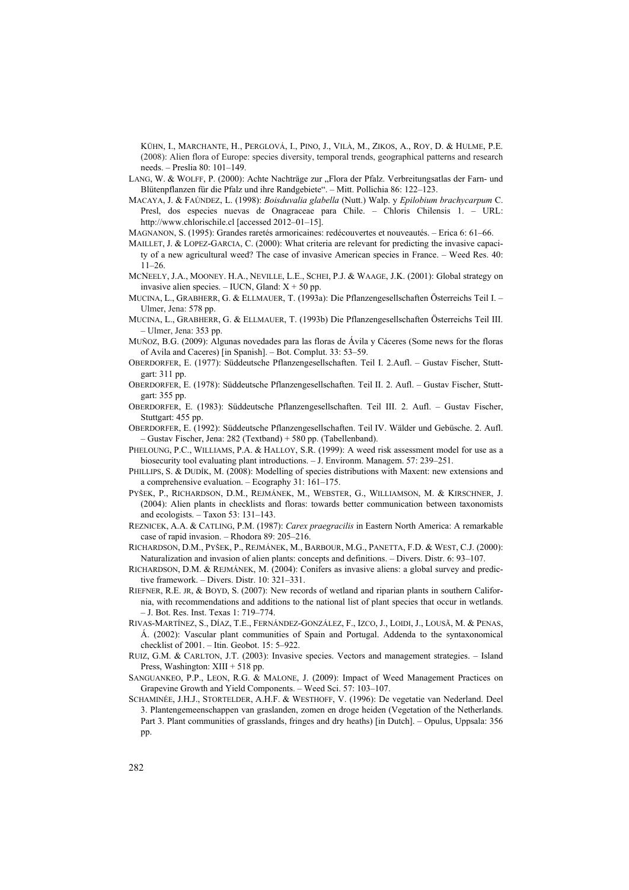KÜHN, I., MARCHANTE, H., PERGLOVÁ, I., PINO, J., VILÀ, M., ZIKOS, A., ROY, D. & HULME, P.E. (2008): Alien flora of Europe: species diversity, temporal trends, geographical patterns and research needs. – Preslia 80: 101–149.

LANG, W. & WOLFF, P. (2000): Achte Nachträge zur "Flora der Pfalz. Verbreitungsatlas der Farn- und Blütenpflanzen für die Pfalz und ihre Randgebiete". – Mitt. Pollichia 86: 122–123.

MACAYA, J. & FAÚNDEZ, L. (1998): *Boisduvalia glabella* (Nutt.) Walp. y *Epilobium brachycarpum* C. Presl, dos especies nuevas de Onagraceae para Chile. – Chloris Chilensis 1. – URL: [http://www.chlorischile.cl](http://www.chlorischile.cl/) [accessed 2012–01–15].

MAGNANON, S. (1995): Grandes raretés armoricaines: redécouvertes et nouveautés. – Erica 6: 61–66.

- MAILLET, J. & LOPEZ-GARCIA, C. (2000): What criteria are relevant for predicting the invasive capacity of a new agricultural weed? The case of invasive American species in France. – Weed Res. 40: 11–26.
- MCNEELY, J.A., MOONEY. H.A., NEVILLE, L.E., SCHEI, P.J. & WAAGE, J.K. (2001): Global strategy on invasive alien species. – IUCN, Gland:  $X + 50$  pp.
- MUCINA, L., GRABHERR, G. & ELLMAUER, T. (1993a): Die Pflanzengesellschaften Österreichs Teil I. Ulmer, Jena: 578 pp.
- MUCINA, L., GRABHERR, G. & ELLMAUER, T. (1993b) Die Pflanzengesellschaften Österreichs Teil III. – Ulmer, Jena: 353 pp.
- MUÑOZ, B.G. (2009): Algunas novedades para las floras de Ávila y Cáceres (Some news for the floras of Avila and Caceres) [in Spanish]. – Bot. Complut. 33: 53–59.
- OBERDORFER, E. (1977): Süddeutsche Pflanzengesellschaften. Teil I. 2.Aufl. Gustav Fischer, Stuttgart: 311 pp.
- OBERDORFER, E. (1978): Süddeutsche Pflanzengesellschaften. Teil II. 2. Aufl. Gustav Fischer, Stuttgart: 355 pp.
- OBERDORFER, E. (1983): Süddeutsche Pflanzengesellschaften. Teil III. 2. Aufl. Gustav Fischer, Stuttgart: 455 pp.
- OBERDORFER, E. (1992): Süddeutsche Pflanzengesellschaften. Teil IV. Wälder und Gebüsche. 2. Aufl. – Gustav Fischer, Jena: 282 (Textband) + 580 pp. (Tabellenband).
- PHELOUNG, P.C., WILLIAMS, P.A. & HALLOY, S.R. (1999): A weed risk assessment model for use as a biosecurity tool evaluating plant introductions. – J. Environm. Managem. 57: 239–251.
- PHILLIPS, S. & DUDÍK, M. (2008): Modelling of species distributions with Maxent: new extensions and a comprehensive evaluation. – Ecography 31: 161–175.
- PYŠEK, P., RICHARDSON, D.M., REJMÁNEK, M., WEBSTER, G., WILLIAMSON, M. & KIRSCHNER, J. (2004): Alien plants in checklists and floras: towards better communication between taxonomists and ecologists. – Taxon 53: 131–143.
- REZNICEK, A.A. & CATLING, P.M. (1987): *Carex praegracilis* in Eastern North America: A remarkable case of rapid invasion. – Rhodora 89: 205–216.
- RICHARDSON, D.M., PYŠEK, P., REJMÁNEK, M., BARBOUR, M.G., PANETTA, F.D. & WEST, C.J. (2000): Naturalization and invasion of alien plants: concepts and definitions. – Divers. Distr. 6: 93–107.
- RICHARDSON, D.M. & REJMÁNEK, M. (2004): Conifers as invasive aliens: a global survey and predictive framework. – Divers. Distr. 10: 321–331.
- RIEFNER, R.E. JR, & BOYD, S. (2007): New records of wetland and riparian plants in southern California, with recommendations and additions to the national list of plant species that occur in wetlands. – J. Bot. Res. Inst. Texas 1: 719–774.
- RIVAS-MARTÍNEZ, S., DÍAZ, T.E., FERNÁNDEZ-GONZÁLEZ, F., IZCO, J., LOIDI, J., LOUSÃ, M. & PENAS, Á. (2002): Vascular plant communities of Spain and Portugal. Addenda to the syntaxonomical checklist of 2001. – Itin. Geobot. 15: 5–922.
- RUIZ, G.M. & CARLTON, J.T. (2003): Invasive species. Vectors and management strategies. Island Press, Washington: XIII + 518 pp.
- SANGUANKEO, P.P., LEON, R.G. & MALONE, J. (2009): Impact of Weed Management Practices on Grapevine Growth and Yield Components. – Weed Sci. 57: 103–107.
- SCHAMINÉE, J.H.J., STORTELDER, A.H.F. & WESTHOFF, V. (1996): De vegetatie van Nederland. Deel 3. Plantengemeenschappen van graslanden, zomen en droge heiden (Vegetation of the Netherlands. Part 3. Plant communities of grasslands, fringes and dry heaths) [in Dutch]. – Opulus, Uppsala: 356 pp.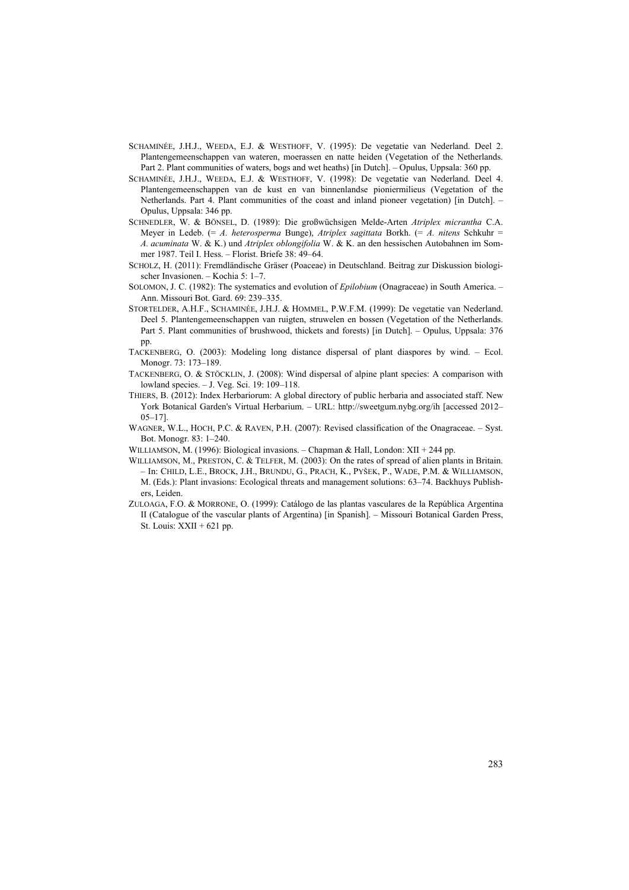- SCHAMINÉE, J.H.J., WEEDA, E.J. & WESTHOFF, V. (1995): De vegetatie van Nederland. Deel 2. Plantengemeenschappen van wateren, moerassen en natte heiden (Vegetation of the Netherlands. Part 2. Plant communities of waters, bogs and wet heaths) [in Dutch]. – Opulus, Uppsala: 360 pp.
- SCHAMINÉE, J.H.J., WEEDA, E.J. & WESTHOFF, V. (1998): De vegetatie van Nederland. Deel 4. Plantengemeenschappen van de kust en van binnenlandse pioniermilieus (Vegetation of the Netherlands. Part 4. Plant communities of the coast and inland pioneer vegetation) [in Dutch]. – Opulus, Uppsala: 346 pp.
- SCHNEDLER, W. & BÖNSEL, D. (1989): Die großwüchsigen Melde-Arten *Atriplex micrantha* C.A. Meyer in Ledeb. (= *A. heterosperma* Bunge), *Atriplex sagittata* Borkh. (= *A. nitens* Schkuhr = *A. acuminata* W. & K.) und *Atriplex oblongifolia* W. & K. an den hessischen Autobahnen im Sommer 1987. Teil I. Hess. – Florist. Briefe 38: 49–64.
- SCHOLZ, H. (2011): Fremdländische Gräser (Poaceae) in Deutschland. Beitrag zur Diskussion biologischer Invasionen. – Kochia 5: 1–7.
- SOLOMON, J. C. (1982): The systematics and evolution of *Epilobium* (Onagraceae) in South America. Ann. Missouri Bot. Gard. 69: 239–335.
- STORTELDER, A.H.F., SCHAMINÉE, J.H.J. & HOMMEL, P.W.F.M. (1999): De vegetatie van Nederland. Deel 5. Plantengemeenschappen van ruigten, struwelen en bossen (Vegetation of the Netherlands. Part 5. Plant communities of brushwood, thickets and forests) [in Dutch]. – Opulus, Uppsala: 376 pp.
- TACKENBERG, O. (2003): Modeling long distance dispersal of plant diaspores by wind. Ecol. Monogr. 73: 173–189.
- TACKENBERG, O. & STÖCKLIN, J. (2008): Wind dispersal of alpine plant species: A comparison with lowland species. – J. Veg. Sci. 19: 109–118.
- THIERS, B. (2012): Index Herbariorum: A global directory of public herbaria and associated staff. New York Botanical Garden's Virtual Herbarium. – URL: [http://sweetgum.nybg.org/ih](http://sweetgum.nybg.org/ih/) [accessed 2012– 05–17].
- WAGNER, W.L., HOCH, P.C. & RAVEN, P.H. (2007): Revised classification of the Onagraceae. Syst. Bot. Monogr. 83: 1–240.
- WILLIAMSON, M. (1996): Biological invasions. Chapman & Hall, London: XII + 244 pp.
- WILLIAMSON, M., PRESTON, C. & TELFER, M. (2003): On the rates of spread of alien plants in Britain. – In: CHILD, L.E., BROCK, J.H., BRUNDU, G., PRACH, K., PYŠEK, P., WADE, P.M. & WILLIAMSON, M. (Eds.): Plant invasions: Ecological threats and management solutions: 63–74. Backhuys Publishers, Leiden.
- ZULOAGA, F.O. & MORRONE, O. (1999): Catálogo de las plantas vasculares de la República Argentina II (Catalogue of the vascular plants of Argentina) [in Spanish]. – Missouri Botanical Garden Press, St. Louis:  $XXII + 621$  pp.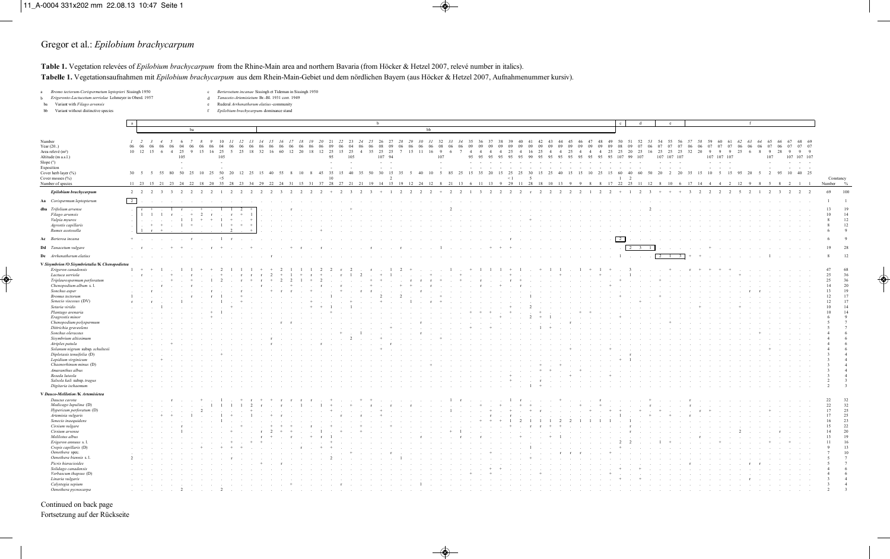# Gregor et al.: *Epilobium brachycarpum*

#### **Table 1.** Vegetation relevées of *Epilobium brachycarpum* from the Rhine-Main area and northern Bavaria (from Höcker & Hetzel 2007, relevé number in italics).

**Tabelle 1.** Vegetationsaufnahmen mit *Epilobium brachycarpum* aus dem Rhein-Main-Gebiet und dem nördlichen Bayern (aus Höcker & Hetzel 2007, Aufnahmenummer kursiv).

- b *Erigeronto-Lactucetum serriolae* Lohmeyer in Oberd. 1957
- a *Bromo tectorum-Corispermetum leptopteri* Sissingh 1950 c *Berteroetum incanae* Sissingh et Tideman in Sissingh 1950
	-
- ba Variant with *Filago arvensis* e Ruderal *Arrhenatherum elatius*-community
- bb Variant without distinctive species **f** *Epilobium brachycarpum* dominance stand

a de la contradición de la contradición de la contradición de la contradición de la contradición de la contradición de la contradición de la contradición de la contradición de la contradición de la contradición de la contr ba bb Number 2003 8 4 5 6 7 8 9 10 11 12 13 14 15 16 17 18 19 20 21 22 23 24 25 26 27 28 29 30 31 32 33 34 35 36 37 38 39 40 41 42 43 44 45 46 47 48 49 50 51 52 53 54 55 56 57 58 59 60 61 62 63 64 65 66 67 68 69 Year (20..) 06 06 06 06 06 04 06 06 06 04 06 06 06 06 06 06 06 06 06 06 09 06 04 06 06 08 09 06 06 06 06 08 06 06 09 09 09 09 09 09 09 09 09 09 09 09 09 09 09 08 09 07 06 07 07 07 06 06 07 07 07 06 06 06 07 06 07 07 07 Area relevé (m²) 10 12 15 6 4 25 9 15 16 25 5 25 18 32 16 60 12 20 18 12 25 15 25 4 35 25 25 7 15 11 16 9 6 7 4 4 4 4 25 4 16 25 4 4 25 4 4 4 25 25 20 25 16 25 25 25 32 20 9 9 9 25 6 8 9 28 9 9 9 Altitude (m a.s.l.) 105 105 95 105 107 94 107 95 95 95 95 95 95 99 95 95 95 95 95 95 95 95 107 99 107 107 107 107 107 107 107 107 107 107 107  $\mathsf{Slope}({}^o)$ Exposition - - - - - - - - - - - - - - - - - - - - - - - - - - - - - - - - - - - Cover herb layer (%) 30 5 5 60 26 10 25 10 25 20 20 21 225 15 40 25 8 10 8 45 35 15 40 35 50 30 15 35 5 40 10 5 85 25 15 35 20 15 25 25 30 15 25 15 10 25 15 60 40 60 50 20 2 20 35 15 10 5 15 95 20 5 2 95 10 40 25 16 10 5 1  $Cover \, \text{mass} \, (%)$   $\leq 5$   $\leq 1$   $\geq 2$   $\leq 1$   $\leq 1$   $\geq 2$   $\leq 1$   $\geq 2$   $\leq 1$   $\geq 2$   $\leq 1$   $\geq 2$   $\geq 2$   $\geq 2$   $\geq 2$   $\geq 2$   $\geq 2$   $\geq 2$   $\geq 2$   $\geq 2$   $\geq 2$   $\geq 2$   $\geq 2$   $\geq 2$   $\geq 2$   $\geq$ Number of species 11 23 15 21 23 24 22 18 20 35 28 23 34 29 22 24 31 15 31 37 28 27 21 21 19 14 15 19 12 4 12 8 11 0 28 18 10 13 13 9 9 8 8 17 22 25 11 12 8 10 6 17 14 4 4 2 12 9 8 5 8 2 1 1 Number % *Epilobium brachycarpum* 2 2 2 3 3 2 2 2 2 1 2 2 2 2 2 3 2 2 2 2 + 2 3 2 3 + 1 2 2 2 2 + 2 2 1 3 2 2 2 2 r 2 2 2 2 2 1 2 2 + 1 2 3 + + + 3 2 2 2 2 5 2 1 2 3 2 2 2 69 100 **Aa** *Corispermum leptopterum* 2.................................................................... 1 1 **dba** *Trifolium arvense* . r + . 1 r . + . 1 1 2 + . . . r . . . . . + . . . . . . . . . 2 . . . . . . . . . . . . . . . . . . . 2 . . . . . . . . . . . . . . . . 13 19 *Filago arvensis* . 1 1 1 r . + 2 r . r + 1 . . . . . . . . . . . . . . . . . . . . . . . . . . . . . . . . . . . . . . . . . . . . . . . . . . . . . . . . 10 14 *Vulpia myuros* . . . . . 11++1+ .+ . . . . . . . . . . . . . . . . . . . . . . . . . . .+ . . . . . . . . . . . . . . . . . . . . . . . . . . . . 8 12 *Agrostis capillaris* . . + + . 1 + . . 1 + + + . . . . . . . . . . . . . . . . . . . . . . . . . . . . . . . . . . . . . . . . . . . . . . . . . . . . . . . . 8 12 *Rumex acetosella* .1r+. . . . . .2.+. . . . . .+. . . . . . . . . . . . . . . . . . . . . . . . . . . . . . . .................. 6 9 **Ac** *Berteroa incana* +. . . . .r. .1r. . . . . . . . . . . . . . . . . . . . . . . . . . .r. . . . . . . . . .2. . . . . . . . . . . . . . . . . . . 6 9 **Dd** *Tanacetum vulgare* . r . . + + . . r + . . + . . . + r . r . . . . r . . r . . . 1 . . . . + + + . . . . . . . . . . . 2 3 1 . . . . . + . . . . . . . . . . 19 28 **De** *Arrhenatherum elatius* . . . . . . . . . . . . . . r . . . . . . . . . . . . . . . . . . . . . . . . . . . . . . . . . . 1 . . . 2 1 3 + + . . . . . . 1 . . . . 8 12 **V Sisymbrion / O Sisymbrietalia / K Chenopodiereally** *Erigeron canadensis Erigeron canadensis* 1 + + 1 . 1 1 + + 2 1 1 1 + + 2 1 1 1 2 2 r 2 . r . 1 2 + . . . 1 . + 1 1 1 + 1 . + 1 1 . 1 + 1 + . 3 . . . + . r + + + + . . . . . . . . 47 68 *Lactuca serriola* . r . . + . r . . + . r r r 2 + 1 + r + . r 1 2 . + 1 . . . + . . + . . . . + . . . . + . . . + . . 1 . . . . . . . . . . + . . . . . . . 25 36 *Tripleurospermum perforatum* . . . . + . + . 1 2 . r + r + 2 2 1 + 2 . . . . + + . . r r r + . + . r . . r + . . . . . . . . . + . . . + . . . . . . . . . . . . . . . 25 36 *Chenopodium album* s. l. ...r..r. .....r. .+ . . r . r . .+ . .++ . r . . . . r .+ . r . . . . . . . .+ . . . . . . . . . . . . . . . . . . . . 14 20 *Sonchus asper* . . r . . . . . r . . r . . + r r . + . . + . r r . . . . r . . . . . . . . . . . . . . . . . . . . . . . . . . . . . . . . r r . . . . . 13 19 *Bromus tectorum* 1 . . . . . r . r 1 . + . . . . . . . . 1 . . . . 2 . 2 . . . + . . . . . . . . 1 . . . . . . . . + . . . + . . . . . . . . . . . . . . . 12 17 *Senecio viscosus* (DV) r.r. .1. . .1.+. . . . . .+. . .+. .+. .1. r+. . . . . . . . . . . . . . . . . . .+. . . . . . . . . . . . . . . . . 12 17 *Setaria viridis* . . . 1 . . . . . . + . . . . . . . + + 1 . 1 . . . . . . . . . . . . . . . + . 2 . . . . . . . . . . . . . . . . + . . . + . . . . . . . 10 14 *Plantago arenaria* . . . . . . . . + 1 . . . . . . . . . . + . . . . . . . . . . . . . + + + . + . . + . . . + + . . . . . . . . . . . . . . . . . . . . . . 10 14 *Eragrostis minor* . . . . . . . .+ . . . . . . . . . . . . . . . . . . . . . . . . . . . .+ . . 2+1 . . . . . .+ . . . . . . . . . . . . . . . . . . . 6 9 *Chenopodium polyspermum* . . . . . . . . . . . . . . . rr . . . . . . . . . . . . r . . . . . . . . . . . . . . r . . . . . . . . .+. . . . . . . . . . . . . . 5 7 *Dittrichia graveolens* . . . . . . . . . . . . . . . . . . . . . . . . . .+ . . . . . . .+ .+ . . . . 1+ . . . . . . . . . . . . . . . . . . . . . . . . . . 5 7 *Sonchus oleraceus* . . . . . . . . . . . . . . . . . . . . .+.1. . . . . r . . . . . . . . . . . . . . . . . . . . . . . . . . . . . . . . .+. . . . . 4 6 *Sisymbrium altissimum* . . . . . . . . . . . . . . r . . . . . . .2. .+. . . . .+. . . . . . . . . . . . . . . . . . . . . . . . . . . . . . . . . . . . . 4 6 *Atriplex patula* . . . .+. . . . . . . . . r . . . . r . . . . . . r . . . . . . . . . . . . . . . . . . . . . . . . . . . . . . . . . . . . . . . . . . 4 6 *Solanum nigrum* subsp. *schultesii* ....... ......... . . . . . . . . .+. . . . . . . . . . . . . . . . . .+. . .+. . . . . . . . . . . . . . .+. ... 4 6 *Diplotaxis tenuifolia* (D) ....... . .+. . . . . . ..................................r.............. .... 3 4 *Lepidium virginicum* . . .+ . . . . . . . . . . . . . . . . . . . . . . . . . . . . . . . . . . . . . . . . . . . . .+1 . . . . . . . . . . . . . . . . . . 3 4 *Chaenorhinum minus* (D) ....... ......... . . . . . . . . . . . . . .+. . . . . . . . . .+.+. . . . . . . . . . . . . . . . . . . . . .... 3 4 *Amaranthus albus* . . . . . . . . . . . . . . . . . . . . . . . . . . . . . . . . . . . . . . . . .++ . .+ . . . . . . . . . . . . . . . . . . . . . . . 3 4 *Reseda luteola* . . . . . . . . . . . . . . . . . . . . . . . . . . . . . . . . . . . . . .+. . . . .+. . .+. . . . . . . . . . . . . . . . . . . . 3 4 *Salsola kali* subsp. *tragus* ....... ......... . . . . . . . . . . . . . . . . . . . . . .+. . r . . . . . . . . . . . . . . . . . . . . . . . .... 2 3 *Digitaria ischaemum* . . . . . . . . . . . . . . . . . . . . . . . . . . . . . . . . . . . . . . . . 1+ . . . . . . . . . . . . . . . . . . . . . . . . . . . 2 3 **V** *Dauco-Melilotion* **/K** *Artemisietea Daucus carota* . . . . r . . + . 1 . + r + + r r r r . + . . + + . . . . . . . 1 r . . . . 1 r . . . + . . . r . . . . + . . . r . . . . . . . . . . . . 22 32 *Medicago lupulina* (D) ....... .11112r . r . 1 . 1+ .+ . r . r . r . . . . . .+ .+ .++ . . . .+ .+ . . . . r . . . r . . . . . . . . . . . . 22 32 *Hypericum perforatum* (D) . . . . . . .2. . . .+. . . . . . .+ . . . .+ . . . . . . 1 . . .+ .+ .+ r . . . .+ .++ .+ .+ . . . r+ . . . . .+ . . . . 17 25 *Artemisia vulgaris* . . . + + . 1 . . 1 + . 1 . + r . . . . . r . r . + . . . . . . . . . . r . r . . . . . . . . . . 1 . . + . + . r . . . . . . . . . . . . 17 25 *Senecio inaequidens* . . . . . . . . . 1 . . . . . . . . . . . . . . . . . . . . . . . . . + + + 1 2 1 1 1 2 2 1 1 1 1 . 1 . . . . . . . . . . . . . . . . . . 16 23 *Cirsium vulgare* . . . . . r . . . . . + . . + + + . r . + . . + . . + . . . . . . . . . . . + . r r + + . . . . . . r . . . . . . . . . . . . . . . . . . 15 22 *Cirsium arvense* . . . . . 1 . . . . + . . r 2 + + . . 1 . + . + . . . . . . . . + 1 . . . . . . . . . . . . . . . . r . . . . . . . . . . 2 . . . r . . . 14 20 *Melilotus albus* . . . . . . . . . . . . . r + . r . + r 1 . . . . . . . . r . . . r . r . . . + . . + 1 . . . . . . . . . . . . . r . . . . . . . . . . . 13 19 *Erigeron annuus* s. l. ....... . . .+ .++ . . . . . .+ . . . . . . . . . . . . . . . . . . . . . . . . . . . . 22 . . 1+ . . . .+ . . . .+ .+ . . 11 16 *Crepis capillaris* (D) . . . . . . .+ .+++ . ... . r .++ . . . . . . . . . . . . . . . . . . . 1 . . . . . . . .+ . . . . . . . . . . . . . . . . . . . 9 13 *Oenothera* spec. ....... ......... . . . . . .+. . . r . . . . . . . . .+. . . . . . rrr . .+. . . . . . . . . . . . . . . . . . . . 7 10 *Oenothera biennis* s. l. 2...... ...r..... . . . .2. . . . . .1. . . . . . . . . . . .+. . . . . . . . . . . . . . . . . . . . . . . . .... 5 7 *Picris hieracioides* . . . . . . . . . . . . .+. r . . . . . . . . . . . . . . . . . . . . . . . . . . . . . . . . . . . . . . . . r . . . . . rr . . . . . 5 7 *Solidago canadensis* . . . . . . . . . . . . . . . . . . . . . . . . . . . . . . . . . . . .++ . . . . . . . . . . .+ .+ . . . . . . . . . . . . . . . . . 4 6 *Verbascum thapsus* (D) ....... ......... . . . . . . . . . . . . . . . . . .+.+. . . .+. . . . . .+. . . . . . . . . . . . . . . . .... 4 6 *Linaria vulgaris* . . . . . . . . . . . . . . . . . . . . . . . . . . . . . . . . . . . . . . . . . . . . . . . . .+.+. . . . . . . . . . r . . . . . . 3 4 *Calystegia sepium* . . . . . . . . . . . . . . . .+. . . . r . . . . . . .1. . . . . . . . . . . . . . . . . . . . . . . . . . . . . . . . . . . . . . . 3 4 *Oenothera pycnocarpa* . . . . .2. . .2. . . . . . . . . . . . . . . . . . . . . . . . . . . . . . . . . . . . . . . . . . . . . . . . . . . . . . . . . . . 2 3

## Continued on back page Fortsetzung auf der Rückseite